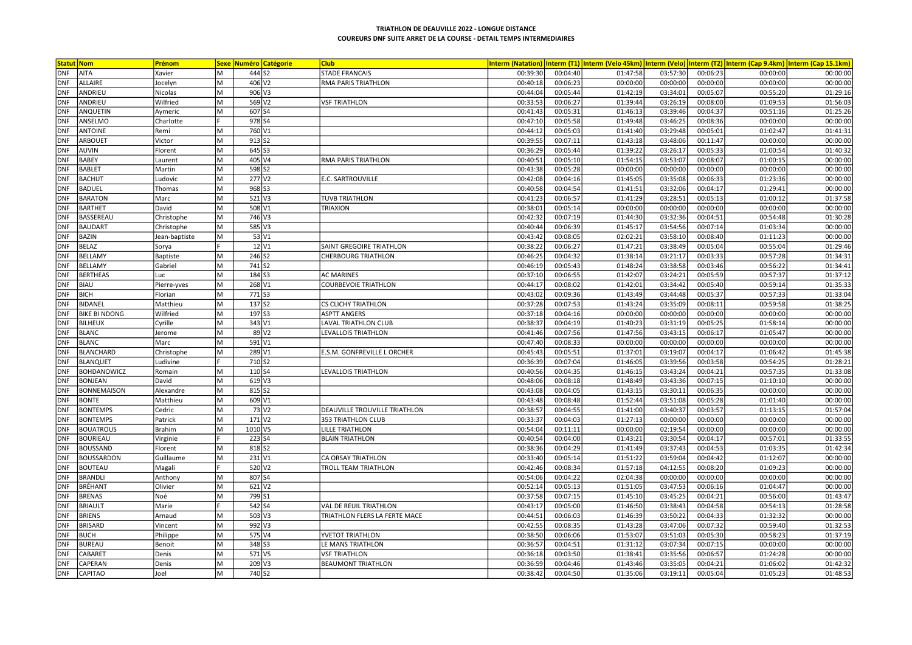|            | <b>Statut Nom</b>    | Prénom        |   |         | <b>Sexe Numéro Catégorie</b> | <b>Club</b>                   |          |          |          |          |          |          | Interm (Natation) Interm (T1) Interm (Velo 45km) Interm (Velo) Interm (T2) Interm (Cap 9.4km) Interm (Cap 15.1km) |
|------------|----------------------|---------------|---|---------|------------------------------|-------------------------------|----------|----------|----------|----------|----------|----------|-------------------------------------------------------------------------------------------------------------------|
| <b>DNF</b> | AITA                 | Xavier        | M |         | 444 S2                       | <b>STADE FRANCAIS</b>         | 00:39:30 | 00:04:40 | 01:47:58 | 03:57:30 | 00:06:23 | 00:00:00 | 00:00:00                                                                                                          |
| <b>DNF</b> | ALLAIRE              | Jocelyn       | M |         | 406 V <sub>2</sub>           | RMA PARIS TRIATHLON           | 00:40:18 | 00:06:23 | 00:00:00 | 00:00:00 | 00:00:00 | 00:00:00 | 00:00:00                                                                                                          |
| <b>DNF</b> | ANDRIEU              | Nicolas       | M |         | $906$ V3                     |                               | 00:44:04 | 00:05:44 | 01:42:19 | 03:34:01 | 00:05:07 | 00:55:20 | 01:29:16                                                                                                          |
| <b>DNF</b> | ANDRIEU              | Wilfried      | M |         | 569 V2                       | <b>VSF TRIATHLON</b>          | 00:33:53 | 00:06:27 | 01:39:44 | 03:26:19 | 00:08:00 | 01:09:53 | 01:56:03                                                                                                          |
| <b>DNF</b> | ANQUETIN             | Aymeric       | M |         | 607 S4                       |                               | 00:41:43 | 00:05:31 | 01:46:13 | 03:39:46 | 00:04:37 | 00:51:16 | 01:25:26                                                                                                          |
| <b>DNF</b> | ANSELMO              | Charlotte     |   |         | 978 S4                       |                               | 00:47:10 | 00:05:58 | 01:49:48 | 03:46:25 | 00:08:36 | 00:00:00 | 00:00:00                                                                                                          |
| <b>DNF</b> | <b>ANTOINE</b>       | Remi          | M |         | 760 V1                       |                               | 00:44:12 | 00:05:03 | 01:41:40 | 03:29:48 | 00:05:01 | 01:02:47 | 01:41:31                                                                                                          |
| <b>DNF</b> | <b>ARBOUET</b>       | Victor        | M | 913 S2  |                              |                               | 00:39:55 | 00:07:11 | 01:43:18 | 03:48:06 | 00:11:47 | 00:00:00 | 00:00:00                                                                                                          |
| DNF        | <b>AUVIN</b>         | Florent       | M |         | 645 S3                       |                               | 00:36:29 | 00:05:44 | 01:39:22 | 03:26:17 | 00:05:33 | 01:00:54 | 01:40:32                                                                                                          |
| <b>DNF</b> | <b>BABEY</b>         | Laurent       | M |         | 405 V4                       | RMA PARIS TRIATHLON           | 00:40:51 | 00:05:10 | 01:54:15 | 03:53:07 | 00:08:07 | 01:00:15 | 00:00:00                                                                                                          |
| <b>DNF</b> | <b>BABLET</b>        | Martin        | M | 598 52  |                              |                               | 00:43:38 | 00:05:28 | 00:00:00 | 00:00:00 | 00:00:00 | 00:00:00 | 00:00:00                                                                                                          |
| <b>DNF</b> | <b>BACHUT</b>        | Ludovic       | M |         | 277 V <sub>2</sub>           | E.C. SARTROUVILLE             | 00:42:08 | 00:04:16 | 01:45:05 | 03:35:08 | 00:06:33 | 01:23:36 | 00:00:00                                                                                                          |
| <b>DNF</b> | <b>BADUEL</b>        | Thomas        | M |         | 968 S3                       |                               | 00:40:58 | 00:04:54 | 01:41:51 | 03:32:06 | 00:04:17 | 01:29:41 | 00:00:00                                                                                                          |
| <b>DNF</b> | <b>BARATON</b>       | Marc          | M |         | $521$ V3                     | <b>TUVB TRIATHLON</b>         | 00:41:23 | 00:06:57 | 01:41:29 | 03:28:51 | 00:05:13 | 01:00:12 | 01:37:58                                                                                                          |
| <b>DNF</b> | <b>BARTHET</b>       | David         | M |         | 508 V1                       | <b>TRIAXION</b>               | 00:38:01 | 00:05:14 | 00:00:00 | 00:00:00 | 00:00:00 | 00:00:00 | 00:00:00                                                                                                          |
| <b>DNF</b> | BASSEREAU            | Christophe    | M |         | 746 V3                       |                               | 00:42:32 | 00:07:19 | 01:44:30 | 03:32:36 | 00:04:51 | 00:54:48 | 01:30:28                                                                                                          |
| DNF        | BAUDART              | Christophe    | M |         | 585 V3                       |                               | 00:40:44 | 00:06:39 | 01:45:17 | 03:54:56 | 00:07:14 | 01:03:34 | 00:00:00                                                                                                          |
| <b>DNF</b> | <b>BAZIN</b>         | Jean-baptiste | M |         | 53 V1                        |                               | 00:43:42 | 00:08:05 | 02:02:21 | 03:58:10 | 00:08:40 | 01:11:23 | 00:00:00                                                                                                          |
| <b>DNF</b> | <b>BELAZ</b>         | Sorya         |   |         | $12$ V <sub>1</sub>          | SAINT GREGOIRE TRIATHLON      | 00:38:22 | 00:06:27 | 01:47:21 | 03:38:49 | 00:05:04 | 00:55:04 | 01:29:46                                                                                                          |
| DNF        | BELLAMY              | Baptiste      | M | 246 S2  |                              | CHERBOURG TRIATHLON           | 00:46:25 | 00:04:32 | 01:38:14 | 03:21:17 | 00:03:33 | 00:57:28 | 01:34:31                                                                                                          |
| <b>DNF</b> | <b>BELLAMY</b>       | Gabriel       | M |         | 741 S2                       |                               | 00:46:19 | 00:05:43 | 01:48:24 | 03:38:58 | 00:03:46 | 00:56:22 | 01:34:41                                                                                                          |
| <b>DNF</b> | <b>BERTHEAS</b>      | Luc           | M |         | 184 S3                       | <b>AC MARINES</b>             | 00:37:10 | 00:06:55 | 01:42:07 | 03:24:21 | 00:05:59 | 00:57:37 | 01:37:12                                                                                                          |
| <b>DNF</b> | <b>BIAU</b>          | Pierre-yves   | M |         | 268 V1                       | <b>COURBEVOIE TRIATHLON</b>   | 00:44:17 | 00:08:02 | 01:42:01 | 03:34:42 | 00:05:40 | 00:59:14 | 01:35:33                                                                                                          |
| <b>DNF</b> | <b>BICH</b>          | Florian       | M |         | 771 S3                       |                               | 00:43:02 | 00:09:36 | 01:43:49 | 03:44:48 | 00:05:37 | 00:57:33 | 01:33:04                                                                                                          |
| <b>DNF</b> | BIDANEL              | Matthieu      | M |         | 137 S <sub>2</sub>           | <b>CS CLICHY TRIATHLON</b>    | 00:37:28 | 00:07:53 | 01:43:24 | 03:35:09 | 00:08:11 | 00:59:58 | 01:38:25                                                                                                          |
| <b>DNF</b> | <b>BIKE BI NDONG</b> | Wilfried      | M |         | 197 S3                       | <b>ASPTT ANGERS</b>           | 00:37:18 | 00:04:16 | 00:00:00 | 00:00:00 | 00:00:00 | 00:00:00 | 00:00:00                                                                                                          |
| <b>DNF</b> | <b>BILHEUX</b>       | Cyrille       | M |         | $343$ $V1$                   | LAVAL TRIATHLON CLUB          | 00:38:37 | 00:04:19 | 01:40:23 | 03:31:19 | 00:05:25 | 01:58:14 | 00:00:00                                                                                                          |
| <b>DNF</b> | <b>BLANC</b>         | Jerome        | M |         | $89$ $V2$                    | LEVALLOIS TRIATHLON           | 00:41:46 | 00:07:56 | 01:47:56 | 03:43:15 | 00:06:17 | 01:05:47 | 00:00:00                                                                                                          |
| <b>DNF</b> | <b>BLANC</b>         | Marc          | M |         | 591 V1                       |                               | 00:47:40 | 00:08:33 | 00:00:00 | 00:00:00 | 00:00:00 | 00:00:00 | 00:00:00                                                                                                          |
| <b>DNF</b> | <b>BLANCHARD</b>     | Christophe    | M |         | 289 V1                       | E.S.M. GONFREVILLE L ORCHER   | 00:45:43 | 00:05:51 | 01:37:01 | 03:19:07 | 00:04:17 | 01:06:42 | 01:45:38                                                                                                          |
| <b>DNF</b> | <b>BLANQUET</b>      | Ludivine      |   | 710S2   |                              |                               | 00:36:39 | 00:07:04 | 01:46:05 | 03:39:56 | 00:03:58 | 00:54:25 | 01:28:21                                                                                                          |
| <b>DNF</b> | <b>BOHDANOWICZ</b>   | Romain        | M | 110S4   |                              | LEVALLOIS TRIATHLON           | 00:40:56 | 00:04:35 | 01:46:15 | 03:43:24 | 00:04:21 | 00:57:35 | 01:33:08                                                                                                          |
| <b>DNF</b> | <b>BONJEAN</b>       | David         | M |         | $619$ V <sub>3</sub>         |                               | 00:48:06 | 00:08:18 | 01:48:49 | 03:43:36 | 00:07:15 | 01:10:10 | 00:00:00                                                                                                          |
| <b>DNF</b> | <b>BONNEMAISON</b>   | Alexandre     | M |         | 815 S2                       |                               | 00:43:08 | 00:04:05 | 01:43:15 | 03:30:11 | 00:06:35 | 00:00:00 | 00:00:00                                                                                                          |
| <b>DNF</b> | <b>BONTE</b>         | Matthieu      | M |         | 609 V1                       |                               | 00:43:48 | 00:08:48 | 01:52:44 | 03:51:08 | 00:05:28 | 01:01:40 | 00:00:00                                                                                                          |
| <b>DNF</b> | <b>BONTEMPS</b>      | Cedric        | M |         | $73$ $V2$                    | DEAUVILLE TROUVILLE TRIATHLON | 00:38:57 | 00:04:55 | 01:41:00 | 03:40:37 | 00:03:57 | 01:13:15 | 01:57:04                                                                                                          |
| <b>DNF</b> | <b>BONTEMPS</b>      | Patrick       | M |         | 171 V <sub>2</sub>           | 353 TRIATHLON CLUB            | 00:33:37 | 00:04:03 | 01:27:13 | 00:00:00 | 00:00:00 | 00:00:00 | 00:00:00                                                                                                          |
| <b>DNF</b> | <b>BOUATROUS</b>     | Brahim        | M | 1010 V5 |                              | <b>LILLE TRIATHLON</b>        | 00:54:04 | 00:11:11 | 00:00:00 | 02:19:54 | 00:00:00 | 00:00:00 | 00:00:00                                                                                                          |
| <b>DNF</b> | BOURIEAU             | Virginie      |   | 223 S4  |                              | <b>BLAIN TRIATHLON</b>        | 00:40:54 | 00:04:00 | 01:43:21 | 03:30:54 | 00:04:17 | 00:57:01 | 01:33:55                                                                                                          |
| <b>DNF</b> | <b>BOUSSAND</b>      | Florent       | M | 818 S2  |                              |                               | 00:38:36 | 00:04:29 | 01:41:49 | 03:37:43 | 00:04:53 | 01:03:35 | 01:42:34                                                                                                          |
| <b>DNF</b> | <b>BOUSSARDON</b>    | Guillaume     | M |         | $\overline{231}$ V1          | CA ORSAY TRIATHLON            | 00:33:40 | 00:05:14 | 01:51:22 | 03:59:04 | 00:04:42 | 01:12:07 | 00:00:00                                                                                                          |
| <b>DNF</b> | <b>BOUTEAU</b>       | Magali        |   |         | 520 V2                       | TROLL TEAM TRIATHLON          | 00:42:46 | 00:08:34 | 01:57:18 | 04:12:55 | 00:08:20 | 01:09:23 | 00:00:00                                                                                                          |
| <b>DNF</b> | BRANDLI              | Anthony       | M |         | 807 S4                       |                               | 00:54:06 | 00:04:22 | 02:04:38 | 00:00:00 | 00:00:00 | 00:00:00 | 00:00:00                                                                                                          |
| <b>DNF</b> | <b>BRÉHANT</b>       | Olivier       | M |         | $621$ V <sub>2</sub>         |                               | 00:52:14 | 00:05:13 | 01:51:05 | 03:47:53 | 00:06:16 | 01:04:47 | 00:00:00                                                                                                          |
| <b>DNF</b> | <b>BRENAS</b>        | Noé           | M | 799 S1  |                              |                               | 00:37:58 | 00:07:15 | 01:45:10 | 03:45:25 | 00:04:21 | 00:56:00 | 01:43:47                                                                                                          |
| DNF        | <b>BRIAULT</b>       | Marie         |   |         | 542 S4                       | VAL DE REUIL TRIATHLON        | 00:43:17 | 00:05:00 | 01:46:50 | 03:38:43 | 00:04:58 | 00:54:13 | 01:28:58                                                                                                          |
| <b>DNF</b> | <b>BRIENS</b>        | Arnaud        | M |         | 503 V3                       | TRIATHLON FLERS LA FERTE MACE | 00:44:51 | 00:06:03 | 01:46:39 | 03:50:22 | 00:04:33 | 01:32:32 | 00:00:00                                                                                                          |
| <b>DNF</b> | <b>BRISARD</b>       | Vincent       | M |         | 992 V3                       |                               | 00:42:55 | 00:08:35 | 01:43:28 | 03:47:06 | 00:07:32 | 00:59:40 | 01:32:53                                                                                                          |
| <b>DNF</b> | <b>BUCH</b>          | Philippe      | M |         | 575 V4                       | YVETOT TRIATHLON              | 00:38:50 | 00:06:06 | 01:53:07 | 03:51:03 | 00:05:30 | 00:58:23 | 01:37:19                                                                                                          |
| <b>DNF</b> | <b>BUREAU</b>        | Benoit        | M |         | 348 S3                       | LE MANS TRIATHLON             | 00:36:57 | 00:04:51 | 01:31:12 | 03:07:34 | 00:07:15 | 00:00:00 | 00:00:00                                                                                                          |
| <b>DNF</b> | CABARET              | Denis         | M |         | $571$ V <sub>5</sub>         | <b>VSF TRIATHLON</b>          | 00:36:18 | 00:03:50 | 01:38:41 | 03:35:56 | 00:06:57 | 01:24:28 | 00:00:00                                                                                                          |
| <b>DNF</b> | CAPERAN              | Denis         | M |         | $209$ V3                     | <b>BEAUMONT TRIATHLON</b>     | 00:36:59 | 00:04:46 | 01:43:46 | 03:35:05 | 00:04:21 | 01:06:02 | 01:42:32                                                                                                          |
| <b>DNF</b> | <b>CAPITAO</b>       | Joel          | M |         | 740 S2                       |                               | 00:38:42 | 00:04:50 | 01:35:06 | 03:19:11 | 00:05:04 | 01:05:23 | 01:48:53                                                                                                          |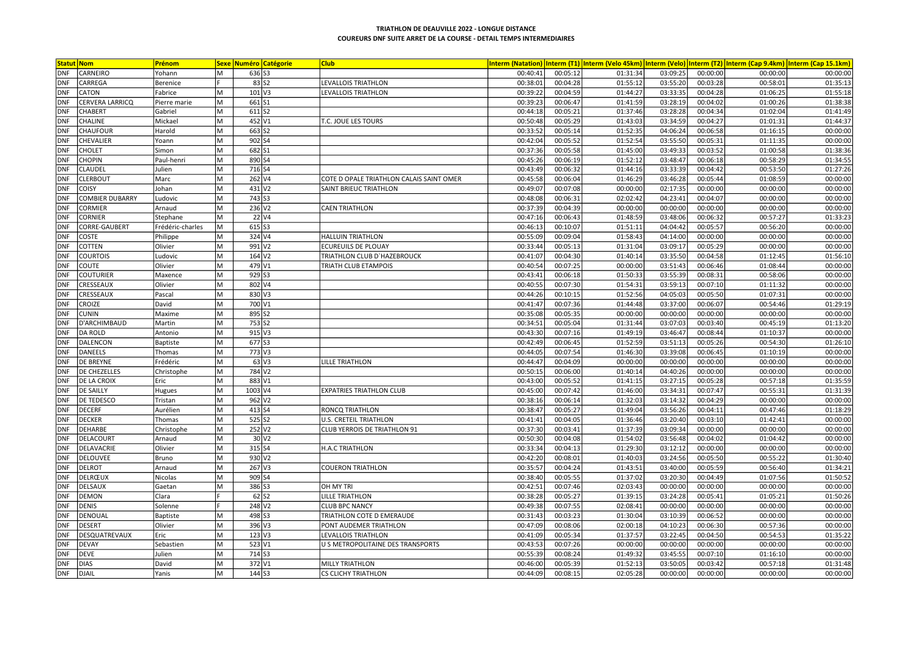| <b>Statut Nom</b>                    | Prénom           |    |                      | <b>Sexe Numéro Catégorie</b> | <b>Club</b>                              |          |          |          |          |          |          | Interm (Natation) Interm (T1) Interm (Velo 45km) Interm (Velo) Interm (T2) Interm (Cap 9.4km) Interm (Cap 15.1km) |
|--------------------------------------|------------------|----|----------------------|------------------------------|------------------------------------------|----------|----------|----------|----------|----------|----------|-------------------------------------------------------------------------------------------------------------------|
| <b>DNF</b><br>CARNEIRO               | Yohann           | M  | 636 S3               |                              |                                          | 00:40:41 | 00:05:12 | 01:31:34 | 03:09:25 | 00:00:00 | 00:00:00 | 00:00:00                                                                                                          |
| <b>DNF</b><br>CARREGA                | Berenice         |    |                      | 83 52                        | <b>LEVALLOIS TRIATHLON</b>               | 00:38:01 | 00:04:28 | 01:55:12 | 03:55:20 | 00:03:28 | 00:58:01 | 01:35:13                                                                                                          |
| CATON<br><b>DNF</b>                  | Fabrice          | M  | $101$ V3             |                              | LEVALLOIS TRIATHLON                      | 00:39:22 | 00:04:59 | 01:44:27 | 03:33:35 | 00:04:28 | 01:06:25 | 01:55:18                                                                                                          |
| <b>DNF</b><br>CERVERA LARRICQ        | Pierre marie     | M  | 661S1                |                              |                                          | 00:39:23 | 00:06:47 | 01:41:59 | 03:28:19 | 00:04:02 | 01:00:26 | 01:38:38                                                                                                          |
| <b>DNF</b><br><b>CHABERT</b>         | Gabriel          | M  | $611$ S <sub>2</sub> |                              |                                          | 00:44:18 | 00:05:21 | 01:37:46 | 03:28:28 | 00:04:34 | 01:02:04 | 01:41:49                                                                                                          |
| <b>CHALINE</b><br><b>DNF</b>         | Mickael          | M  | 452 V1               |                              | T.C. JOUE LES TOURS                      | 00:50:48 | 00:05:29 | 01:43:03 | 03:34:59 | 00:04:27 | 01:01:31 | 01:44:37                                                                                                          |
| CHAUFOUR<br><b>DNF</b>               | Harold           | M  | 663 S2               |                              |                                          | 00:33:52 | 00:05:14 | 01:52:35 | 04:06:24 | 00:06:58 | 01:16:15 | 00:00:00                                                                                                          |
| <b>DNF</b><br>CHEVALIER              | Yoann            | M  | 902 S4               |                              |                                          | 00:42:04 | 00:05:52 | 01:52:54 | 03:55:50 | 00:05:31 | 01:11:35 | 00:00:00                                                                                                          |
| <b>DNF</b><br><b>CHOLET</b>          | Simon            | M  | 682 S1               |                              |                                          | 00:37:36 | 00:05:58 | 01:45:00 | 03:49:33 | 00:03:52 | 01:00:58 | 01:38:36                                                                                                          |
| <b>CHOPIN</b><br><b>DNF</b>          | Paul-henri       | M  | 890 S4               |                              |                                          | 00:45:26 | 00:06:19 | 01:52:12 | 03:48:47 | 00:06:18 | 00:58:29 | 01:34:55                                                                                                          |
| CLAUDEL<br><b>DNF</b>                | Julien           | M  | 716 S4               |                              |                                          | 00:43:49 | 00:06:32 | 01:44:16 | 03:33:39 | 00:04:42 | 00:53:50 | 01:27:26                                                                                                          |
| <b>CLERBOUT</b><br><b>DNF</b>        | Marc             | M  | 262 V4               |                              | COTE D OPALE TRIATHLON CALAIS SAINT OMER | 00:45:58 | 00:06:04 | 01:46:29 | 03:46:28 | 00:05:44 | 01:08:59 | 00:00:00                                                                                                          |
| <b>DNF</b><br>COISY                  | Johan            | M  |                      | $431$ V <sub>2</sub>         | SAINT BRIEUC TRIATHLON                   | 00:49:07 | 00:07:08 | 00:00:00 | 02:17:35 | 00:00:00 | 00:00:00 | 00:00:00                                                                                                          |
| <b>COMBIER DUBARRY</b><br><b>DNF</b> | Ludovic          | M  | 743 S3               |                              |                                          | 00:48:08 | 00:06:31 | 02:02:42 | 04:23:41 | 00:04:07 | 00:00:00 | 00:00:00                                                                                                          |
| <b>CORMIER</b><br><b>DNF</b>         | Arnaud           | M  |                      | $236$ V <sub>2</sub>         | <b>CAEN TRIATHLON</b>                    | 00:37:39 | 00:04:39 | 00:00:00 | 00:00:00 | 00:00:00 | 00:00:00 | 00:00:00                                                                                                          |
| <b>DNF</b><br><b>CORNIER</b>         | Stephane         | M  |                      | 22 V4                        |                                          | 00:47:16 | 00:06:43 | 01:48:59 | 03:48:06 | 00:06:32 | 00:57:27 | 01:33:23                                                                                                          |
| <b>DNF</b><br><b>CORRE-GAUBERT</b>   | Frédéric-charles | M  | $615$ S3             |                              |                                          | 00:46:13 | 00:10:07 | 01:51:11 | 04:04:42 | 00:05:57 | 00:56:20 | 00:00:00                                                                                                          |
| <b>DNF</b><br><b>COSTE</b>           | Philippe         | M  |                      | 324 V4                       | <b>HALLUIN TRIATHLON</b>                 | 00:55:09 | 00:09:04 | 01:58:43 | 04:14:00 | 00:00:00 | 00:00:00 | 00:00:00                                                                                                          |
| <b>COTTEN</b><br><b>DNF</b>          | Olivier          | M  |                      | 991 V <sub>2</sub>           | ECUREUILS DE PLOUAY                      | 00:33:44 | 00:05:13 | 01:31:04 | 03:09:17 | 00:05:29 | 00:00:00 | 00:00:00                                                                                                          |
| <b>COURTOIS</b><br><b>DNF</b>        | Ludovic          | M  |                      | $164$ V <sub>2</sub>         | TRIATHLON CLUB D'HAZEBROUCK              | 00:41:07 | 00:04:30 | 01:40:14 | 03:35:50 | 00:04:58 | 01:12:45 | 01:56:10                                                                                                          |
| <b>DNF</b><br><b>COUTE</b>           | Olivier          | M  |                      | 479 V1                       | TRIATH CLUB ETAMPOIS                     | 00:40:54 | 00:07:25 | 00:00:00 | 03:51:43 | 00:06:46 | 01:08:44 | 00:00:00                                                                                                          |
| <b>COUTURIER</b><br><b>DNF</b>       | Maxence          | M  | 929 S3               |                              |                                          | 00:43:41 | 00:06:18 | 01:50:33 | 03:55:39 | 00:08:31 | 00:58:06 | 00:00:00                                                                                                          |
| CRESSEAUX<br><b>DNF</b>              | Olivier          | M  | 802 V4               |                              |                                          | 00:40:55 | 00:07:30 | 01:54:31 | 03:59:13 | 00:07:10 | 01:11:32 | 00:00:00                                                                                                          |
| <b>DNF</b><br>CRESSEAUX              | Pascal           | M  |                      | 830 V3                       |                                          | 00:44:26 | 00:10:15 | 01:52:56 | 04:05:03 | 00:05:50 | 01:07:31 | 00:00:00                                                                                                          |
| <b>DNF</b><br><b>CROIZE</b>          | David            | M  | 700 V1               |                              |                                          | 00:41:47 | 00:07:36 | 01:44:48 | 03:37:00 | 00:06:07 | 00:54:46 | 01:29:19                                                                                                          |
| <b>DNF</b><br><b>CUNIN</b>           | Maxime           | M  | 895 S2               |                              |                                          | 00:35:08 | 00:05:35 | 00:00:00 | 00:00:00 | 00:00:00 | 00:00:00 | 00:00:00                                                                                                          |
| <b>DNF</b><br>D'ARCHIMBAUD           | Martin           | M  | 753 S2               |                              |                                          | 00:34:51 | 00:05:04 | 01:31:44 | 03:07:03 | 00:03:40 | 00:45:19 | 01:13:20                                                                                                          |
| <b>DA ROLD</b><br><b>DNF</b>         | Antonio          | M  | $915$ V <sub>3</sub> |                              |                                          | 00:43:30 | 00:07:16 | 01:49:19 | 03:46:47 | 00:08:44 | 01:10:37 | 00:00:00                                                                                                          |
| <b>DNF</b><br>DALENCON               | Baptiste         | M  | 677 S3               |                              |                                          | 00:42:49 | 00:06:45 | 01:52:59 | 03:51:13 | 00:05:26 | 00:54:30 | 01:26:10                                                                                                          |
| <b>DANEELS</b><br><b>DNF</b>         | Thomas           | M  |                      | 773 V3                       |                                          | 00:44:05 | 00:07:54 | 01:46:30 | 03:39:08 | 00:06:45 | 01:10:19 | 00:00:00                                                                                                          |
| <b>DNF</b><br><b>DE BREYNE</b>       | Frédéric         | M  |                      | 63 V3                        | <b>LILLE TRIATHLON</b>                   | 00:44:47 | 00:04:09 | 00:00:00 | 00:00:00 | 00:00:00 | 00:00:00 | 00:00:00                                                                                                          |
| <b>DE CHEZELLES</b><br><b>DNF</b>    | Christophe       | M  |                      | 784 V <sub>2</sub>           |                                          | 00:50:15 | 00:06:00 | 01:40:14 | 04:40:26 | 00:00:00 | 00:00:00 | 00:00:00                                                                                                          |
| <b>DNF</b><br><b>DE LA CROIX</b>     | Eric             | M  | 883 V1               |                              |                                          | 00:43:00 | 00:05:52 | 01:41:15 | 03:27:15 | 00:05:28 | 00:57:18 | 01:35:59                                                                                                          |
| <b>DE SAILLY</b><br><b>DNF</b>       | Hugues           | M  | 1003 V4              |                              | <b>EXPATRIES TRIATHLON CLUB</b>          | 00:45:00 | 00:07:42 | 01:46:00 | 03:34:31 | 00:07:47 | 00:55:31 | 01:31:39                                                                                                          |
| <b>DE TEDESCO</b><br><b>DNF</b>      | Tristan          | M  |                      | $962$ V <sub>2</sub>         |                                          | 00:38:16 | 00:06:14 | 01:32:03 | 03:14:32 | 00:04:29 | 00:00:00 | 00:00:00                                                                                                          |
| <b>DNF</b><br>DECERF                 | Aurélien         | M  | 413 S4               |                              | RONCQ TRIATHLON                          | 00:38:47 | 00:05:27 | 01:49:04 | 03:56:26 | 00:04:11 | 00:47:46 | 01:18:29                                                                                                          |
| <b>DECKER</b><br><b>DNF</b>          | Thomas           | M  | 525 S2               |                              | U.S. CRETEIL TRIATHLON                   | 00:41:41 | 00:04:05 | 01:36:46 | 03:20:40 | 00:03:10 | 01:42:41 | 00:00:00                                                                                                          |
| <b>DNF</b><br><b>DEHARBE</b>         | Christophe       | M  |                      | $252$ V <sub>2</sub>         | <b>CLUB YERROIS DE TRIATHLON 91</b>      | 00:37:30 | 00:03:41 | 01:37:39 | 03:09:34 | 00:00:00 | 00:00:00 | 00:00:00                                                                                                          |
| DELACOURT<br><b>DNF</b>              | Arnaud           | M  |                      | $30\sqrt{2}$                 |                                          | 00:50:30 | 00:04:08 | 01:54:02 | 03:56:48 | 00:04:02 | 01:04:42 | 00:00:00                                                                                                          |
| DELAVACRIE<br><b>DNF</b>             | Olivier          | M  | 315 S4               |                              | H.A.C TRIATHLON                          | 00:33:34 | 00:04:13 | 01:29:30 | 03:12:12 | 00:00:00 | 00:00:00 | 00:00:00                                                                                                          |
| <b>DELOUVEE</b><br><b>DNF</b>        | Bruno            | M  | 930 V2               |                              |                                          | 00:42:20 | 00:08:01 | 01:40:03 | 03:24:56 | 00:05:50 | 00:55:22 | 01:30:40                                                                                                          |
| DELROT<br><b>DNF</b>                 | Arnaud           | M  |                      | $267$ V3                     | <b>COUERON TRIATHLON</b>                 | 00:35:57 | 00:04:24 | 01:43:51 | 03:40:00 | 00:05:59 | 00:56:40 | 01:34:21                                                                                                          |
| DELRŒUX<br><b>DNF</b>                | Nicolas          | M  | 909 S4               |                              |                                          | 00:38:40 | 00:05:55 | 01:37:02 | 03:20:30 | 00:04:49 | 01:07:56 | 01:50:52                                                                                                          |
| DELSAUX<br><b>DNF</b>                | Gaetan           | M  | 386 S3               |                              | OH MY TRI                                | 00:42:51 | 00:07:46 | 02:03:43 | 00:00:00 | 00:00:00 | 00:00:00 | 00:00:00                                                                                                          |
| <b>DNF</b><br><b>DEMON</b>           | Clara            |    |                      | $62$ S <sub>2</sub>          | <b>LILLE TRIATHLON</b>                   | 00:38:28 | 00:05:27 | 01:39:15 | 03:24:28 | 00:05:41 | 01:05:21 | 01:50:26                                                                                                          |
| <b>DENIS</b><br>DNF                  | Solenne          |    |                      | 248 V <sub>2</sub>           | <b>CLUB BPC NANCY</b>                    | 00:49:38 | 00:07:55 | 02:08:41 | 00:00:00 | 00:00:00 | 00:00:00 | 00:00:00                                                                                                          |
| <b>DNF</b><br>DENOUAL                | Baptiste         | M  | 498 S3               |                              | TRIATHLON COTE D EMERAUDE                | 00:31:43 | 00:03:23 | 01:30:04 | 03:10:39 | 00:06:52 | 00:00:00 | 00:00:00                                                                                                          |
| DESERT<br><b>DNF</b>                 | Olivier          | M  | 396 V3               |                              | PONT AUDEMER TRIATHLON                   | 00:47:09 | 00:08:06 | 02:00:18 | 04:10:23 | 00:06:30 | 00:57:36 | 00:00:00                                                                                                          |
| DESQUATREVAUX<br><b>DNF</b>          | Eric             | lм |                      | $123$ V <sub>3</sub>         | LEVALLOIS TRIATHLON                      | 00:41:09 | 00:05:34 | 01:37:57 | 03:22:45 | 00:04:50 | 00:54:53 | 01:35:22                                                                                                          |
| <b>DEVAY</b><br><b>DNF</b>           | Sebastien        | M  |                      | $523$ $V1$                   | U S METROPOLITAINE DES TRANSPORTS        | 00:43:53 | 00:07:26 | 00:00:00 | 00:00:00 | 00:00:00 | 00:00:00 | 00:00:00                                                                                                          |
| <b>DEVE</b><br><b>DNF</b>            | Julien           | M  | 714 S3               |                              |                                          | 00:55:39 | 00:08:24 | 01:49:32 | 03:45:55 | 00:07:10 | 01:16:10 | 00:00:00                                                                                                          |
| <b>DNF</b><br><b>DIAS</b>            | David            | M  | 372 V1               |                              | <b>MILLY TRIATHLON</b>                   | 00:46:00 | 00:05:39 | 01:52:13 | 03:50:05 | 00:03:42 | 00:57:18 | 01:31:48                                                                                                          |
| <b>DNF</b><br>DJAIL                  | Yanis            | M  | 144 S3               |                              | <b>CS CLICHY TRIATHLON</b>               | 00:44:09 | 00:08:15 | 02:05:28 | 00:00:00 | 00:00:00 | 00:00:00 | 00:00:00                                                                                                          |
|                                      |                  |    |                      |                              |                                          |          |          |          |          |          |          |                                                                                                                   |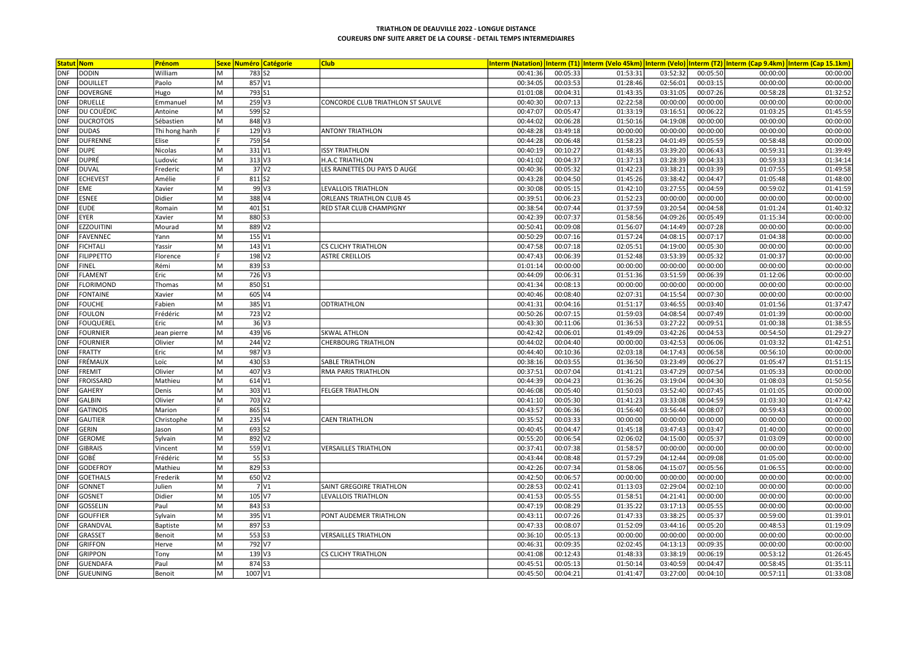| <b>Statut Nom</b>               | Prénom        |                |                      | <b>Sexe Numéro Catégorie</b> | <b>Club</b>                       |          |          |          |          |          |          | Interm (Natation)  Interm (T1)  Interm (Velo 45km)  Interm (Velo)  Interm (T2)  Interm (Cap 9.4km)  Interm (Cap 15.1km) |
|---------------------------------|---------------|----------------|----------------------|------------------------------|-----------------------------------|----------|----------|----------|----------|----------|----------|-------------------------------------------------------------------------------------------------------------------------|
| <b>DODIN</b><br><b>DNF</b>      | William       | M              |                      | 783 S2                       |                                   | 00:41:36 | 00:05:33 | 01:53:31 | 03:52:32 | 00:05:50 | 00:00:00 | 00:00:00                                                                                                                |
| <b>DOUILLET</b><br><b>DNF</b>   | Paolo         | M              |                      | 857 V1                       |                                   | 00:34:05 | 00:03:53 | 01:28:46 | 02:56:01 | 00:03:15 | 00:00:00 | 00:00:00                                                                                                                |
| DOVERGNE<br><b>DNF</b>          | Hugo          | M              | 793 S1               |                              |                                   | 01:01:08 | 00:04:31 | 01:43:35 | 03:31:05 | 00:07:26 | 00:58:28 | 01:32:52                                                                                                                |
| <b>DRUELLE</b><br><b>DNF</b>    | Emmanuel      | M              |                      | $259$ V3                     | CONCORDE CLUB TRIATHLON ST SAULVE | 00:40:30 | 00:07:13 | 02:22:58 | 00:00:00 | 00:00:00 | 00:00:00 | 00:00:00                                                                                                                |
| <b>DNF</b><br>DU COUËDIC        | Antoine       | M              |                      | 599 S2                       |                                   | 00:47:07 | 00:05:47 | 01:33:19 | 03:16:51 | 00:06:22 | 01:03:25 | 01:45:59                                                                                                                |
| <b>DUCROTOIS</b><br><b>DNF</b>  | Sébastien     | M              |                      | 848 V3                       |                                   | 00:44:02 | 00:06:28 | 01:50:16 | 04:19:08 | 00:00:00 | 00:00:00 | 00:00:00                                                                                                                |
| <b>DNF</b><br><b>DUDAS</b>      | Thi hong hanh |                |                      | $129$ V <sub>3</sub>         | <b>ANTONY TRIATHLON</b>           | 00:48:28 | 03:49:18 | 00:00:00 | 00:00:00 | 00:00:00 | 00:00:00 | 00:00:00                                                                                                                |
| <b>DNF</b><br><b>DUFRENNE</b>   | Elise         |                |                      | 759 S4                       |                                   | 00:44:28 | 00:06:48 | 01:58:23 | 04:01:49 | 00:05:59 | 00:58:48 | 00:00:00                                                                                                                |
| <b>DUPE</b><br><b>DNF</b>       | Nicolas       | M              |                      | 331 V1                       | <b>ISSY TRIATHLON</b>             | 00:40:19 | 00:10:27 | 01:48:35 | 03:39:20 | 00:06:43 | 00:59:31 | 01:39:49                                                                                                                |
| DUPRÉ<br><b>DNF</b>             | Ludovic       | M              |                      | $313$ V <sub>3</sub>         | H.A.C TRIATHLON                   | 00:41:02 | 00:04:37 | 01:37:13 | 03:28:39 | 00:04:33 | 00:59:33 | 01:34:14                                                                                                                |
| <b>DNF</b><br><b>DUVAL</b>      | Frederic      | M              |                      | $37$ $V2$                    | LES RAINETTES DU PAYS D AUGE      | 00:40:36 | 00:05:32 | 01:42:23 | 03:38:21 | 00:03:39 | 01:07:55 | 01:49:58                                                                                                                |
| <b>ECHEVEST</b><br><b>DNF</b>   | Amélie        |                |                      | 811 S2                       |                                   | 00:43:28 | 00:04:50 | 01:45:26 | 03:38:42 | 00:04:47 | 01:05:48 | 01:48:00                                                                                                                |
| <b>DNF</b><br><b>EME</b>        | Xavier        | M              |                      | 99 V3                        | LEVALLOIS TRIATHLON               | 00:30:08 | 00:05:15 | 01:42:10 | 03:27:55 | 00:04:59 | 00:59:02 | 01:41:59                                                                                                                |
| <b>ESNEE</b><br><b>DNF</b>      | Didier        | M              |                      | 388 V4                       | ORLEANS TRIATHLON CLUB 45         | 00:39:51 | 00:06:23 | 01:52:23 | 00:00:00 | 00:00:00 | 00:00:00 | 00:00:00                                                                                                                |
| <b>EUDE</b><br><b>DNF</b>       | Romain        | M              | $401$ S <sub>1</sub> |                              | RED STAR CLUB CHAMPIGNY           | 00:38:54 | 00:07:44 | 01:37:59 | 03:20:54 | 00:04:58 | 01:01:24 | 01:40:32                                                                                                                |
| <b>DNF</b><br><b>EYER</b>       | Xavier        | M              |                      | 880 53                       |                                   | 00:42:39 | 00:07:37 | 01:58:56 | 04:09:26 | 00:05:49 | 01:15:34 | 00:00:00                                                                                                                |
| <b>EZZOUITINI</b><br><b>DNF</b> | Mourad        | M              |                      | 889 V2                       |                                   | 00:50:41 | 00:09:08 | 01:56:07 | 04:14:49 | 00:07:28 | 00:00:00 | 00:00:00                                                                                                                |
| <b>DNF</b><br>FAVENNEC          | Yann          | M              |                      | $155$ V1                     |                                   | 00:50:29 | 00:07:16 | 01:57:24 | 04:08:15 | 00:07:17 | 01:04:38 | 00:00:00                                                                                                                |
| <b>FICHTALI</b><br><b>DNF</b>   | Yassir        | M              |                      | 143 V1                       | <b>CS CLICHY TRIATHLON</b>        | 00:47:58 | 00:07:18 | 02:05:51 | 04:19:00 | 00:05:30 | 00:00:00 | 00:00:00                                                                                                                |
| <b>FILIPPETTO</b><br><b>DNF</b> | Florence      |                |                      | 198 V <sub>2</sub>           | <b>ASTRE CREILLOIS</b>            | 00:47:43 | 00:06:39 | 01:52:48 | 03:53:39 | 00:05:32 | 01:00:37 | 00:00:00                                                                                                                |
| <b>DNF</b><br><b>FINEL</b>      | Rémi          | M              |                      | 839 S3                       |                                   | 01:01:14 | 00:00:00 | 00:00:00 | 00:00:00 | 00:00:00 | 00:00:00 | 00:00:00                                                                                                                |
| <b>FLAMENT</b><br><b>DNF</b>    | Eric          | M              |                      | 726 V3                       |                                   | 00:44:09 | 00:06:31 | 01:51:36 | 03:51:59 | 00:06:39 | 01:12:06 | 00:00:00                                                                                                                |
| FLORIMOND<br><b>DNF</b>         | Thomas        | M              | 850 S1               |                              |                                   | 00:41:34 | 00:08:13 | 00:00:00 | 00:00:00 | 00:00:00 | 00:00:00 | 00:00:00                                                                                                                |
| <b>DNF</b><br><b>FONTAINE</b>   | Xavier        | M              |                      | 605 V4                       |                                   | 00:40:46 | 00:08:40 | 02:07:31 | 04:15:54 | 00:07:30 | 00:00:00 | 00:00:00                                                                                                                |
| <b>FOUCHE</b><br><b>DNF</b>     | Fabien        | M              |                      | 385 V1                       | <b>ODTRIATHLON</b>                | 00:41:31 | 00:04:16 | 01:51:17 | 03:46:55 | 00:03:40 | 01:01:56 | 01:37:47                                                                                                                |
| <b>FOULON</b><br><b>DNF</b>     | Frédéric      | M              |                      | 723 V <sub>2</sub>           |                                   | 00:50:26 | 00:07:15 | 01:59:03 | 04:08:54 | 00:07:49 | 01:01:39 | 00:00:00                                                                                                                |
| <b>FOUQUEREL</b><br><b>DNF</b>  | Eric          | M              |                      | $36$ V <sub>3</sub>          |                                   | 00:43:30 | 00:11:06 | 01:36:53 | 03:27:22 | 00:09:51 | 01:00:38 | 01:38:55                                                                                                                |
| <b>DNF</b><br><b>FOURNIER</b>   | Jean pierre   | M              |                      | 439 V6                       | <b>SKWAL ATHLON</b>               | 00:42:42 | 00:06:01 | 01:49:09 | 03:42:26 | 00:04:53 | 00:54:50 | 01:29:27                                                                                                                |
| <b>DNF</b><br><b>FOURNIER</b>   | Olivier       | M              |                      | 244 V <sub>2</sub>           | <b>CHERBOURG TRIATHLON</b>        | 00:44:02 | 00:04:40 | 00:00:00 | 03:42:53 | 00:06:06 | 01:03:32 | 01:42:51                                                                                                                |
| FRATTY<br><b>DNF</b>            | Eric          | M              |                      | 987 V3                       |                                   | 00:44:40 | 00:10:36 | 02:03:18 | 04:17:43 | 00:06:58 | 00:56:10 | 00:00:00                                                                                                                |
| FRÉMAUX<br><b>DNF</b>           | Loïc          | $\overline{M}$ | 430 S3               |                              | SABLE TRIATHLON                   | 00:38:16 | 00:03:55 | 01:36:50 | 03:23:49 | 00:06:27 | 01:05:47 | 01:51:15                                                                                                                |
| <b>FREMIT</b><br><b>DNF</b>     | Olivier       | M              |                      | $407$ V3                     | RMA PARIS TRIATHLON               | 00:37:51 | 00:07:04 | 01:41:21 | 03:47:29 | 00:07:54 | 01:05:33 | 00:00:00                                                                                                                |
| <b>FROISSARD</b><br><b>DNF</b>  | Mathieu       | M              |                      | 614 V1                       |                                   | 00:44:39 | 00:04:23 | 01:36:26 | 03:19:04 | 00:04:30 | 01:08:03 | 01:50:56                                                                                                                |
| <b>GAHERY</b><br><b>DNF</b>     | Denis         | M              |                      | 303 V1                       | <b>FELGER TRIATHLON</b>           | 00:46:08 | 00:05:40 | 01:50:03 | 03:52:40 | 00:07:45 | 01:01:05 | 00:00:00                                                                                                                |
| <b>GALBIN</b><br><b>DNF</b>     | Olivier       | M              |                      | 703 V <sub>2</sub>           |                                   | 00:41:10 | 00:05:30 | 01:41:23 | 03:33:08 | 00:04:59 | 01:03:30 | 01:47:42                                                                                                                |
| <b>GATINOIS</b><br><b>DNF</b>   | Marion        |                | 865 S1               |                              |                                   | 00:43:57 | 00:06:36 | 01:56:40 | 03:56:44 | 00:08:07 | 00:59:43 | 00:00:00                                                                                                                |
| <b>GAUTIER</b><br><b>DNF</b>    | Christophe    | M              |                      | 235 V4                       | <b>CAEN TRIATHLON</b>             | 00:35:52 | 00:03:33 | 00:00:00 | 00:00:00 | 00:00:00 | 00:00:00 | 00:00:00                                                                                                                |
| <b>DNF</b><br><b>GERIN</b>      | Jason         | M              |                      | 693 S2                       |                                   | 00:40:45 | 00:04:47 | 01:45:18 | 03:47:43 | 00:03:47 | 01:40:00 | 00:00:00                                                                                                                |
| <b>GEROME</b><br><b>DNF</b>     | Sylvain       | M              |                      | 892 V <sub>2</sub>           |                                   | 00:55:20 | 00:06:54 | 02:06:02 | 04:15:00 | 00:05:37 | 01:03:09 | 00:00:00                                                                                                                |
| <b>GIBRAIS</b><br><b>DNF</b>    | Vincent       | M              |                      | 559 V1                       | <b>VERSAILLES TRIATHLON</b>       | 00:37:41 | 00:07:38 | 01:58:57 | 00:00:00 | 00:00:00 | 00:00:00 | 00:00:00                                                                                                                |
| GOBÉ<br><b>DNF</b>              | Frédéric      | M              |                      | $55$ S3                      |                                   | 00:43:44 | 00:08:48 | 01:57:29 | 04:12:44 | 00:09:08 | 01:05:00 | 00:00:00                                                                                                                |
| <b>GODEFROY</b><br><b>DNF</b>   | Mathieu       | M              |                      | 829 53                       |                                   | 00:42:26 | 00:07:34 | 01:58:06 | 04:15:07 | 00:05:56 | 01:06:55 | 00:00:00                                                                                                                |
| <b>GOETHALS</b><br><b>DNF</b>   | Frederik      | M              |                      | $650$ V <sub>2</sub>         |                                   | 00:42:50 | 00:06:57 | 00:00:00 | 00:00:00 | 00:00:00 | 00:00:00 | 00:00:00                                                                                                                |
| <b>DNF</b><br><b>GONNET</b>     | Julien        | M              |                      | 7 V1                         | SAINT GREGOIRE TRIATHLON          | 00:28:53 | 00:02:41 | 01:13:03 | 02:29:04 | 00:02:10 | 00:00:00 | 00:00:00                                                                                                                |
| <b>GOSNET</b><br><b>DNF</b>     | Didier        | M              |                      | $105\vert\mathrm{V}$         | LEVALLOIS TRIATHLON               | 00:41:53 | 00:05:55 | 01:58:51 | 04:21:41 | 00:00:00 | 00:00:00 | 00:00:00                                                                                                                |
| <b>GOSSELIN</b><br><b>DNF</b>   | Paul          | M              |                      | 843 S3                       |                                   | 00:47:19 | 00:08:29 | 01:35:22 | 03:17:13 | 00:05:55 | 00:00:00 | 00:00:00                                                                                                                |
| <b>GOUFFIER</b><br><b>DNF</b>   | Sylvain       | M              |                      | 395 V1                       | PONT AUDEMER TRIATHLON            | 00:43:11 | 00:07:26 | 01:47:33 | 03:38:25 | 00:05:37 | 00:59:00 | 01:39:01                                                                                                                |
| GRANDVAL<br><b>DNF</b>          | Baptiste      | M              | 897 S3               |                              |                                   | 00:47:33 | 00:08:07 | 01:52:09 | 03:44:16 | 00:05:20 | 00:48:53 | 01:19:09                                                                                                                |
| <b>DNF</b><br>GRASSET           | Benoit        | M              | $553$ S3             |                              | <b>VERSAILLES TRIATHLON</b>       | 00:36:10 | 00:05:13 | 00:00:00 | 00:00:00 | 00:00:00 | 00:00:00 | 00:00:00                                                                                                                |
| <b>GRIFFON</b><br><b>DNF</b>    | Herve         | M              |                      | 792 V7                       |                                   | 00:46:31 | 00:09:35 | 02:02:45 | 04:13:13 | 00:09:35 | 00:00:00 | 00:00:00                                                                                                                |
| <b>GRIPPON</b><br><b>DNF</b>    | Tony          | M              |                      | $139$ V3                     | <b>CS CLICHY TRIATHLON</b>        | 00:41:08 | 00:12:43 | 01:48:33 | 03:38:19 | 00:06:19 | 00:53:12 | 01:26:45                                                                                                                |
| <b>DNF</b><br><b>GUENDAFA</b>   | Paul          | M              | 874 S3               |                              |                                   | 00:45:51 | 00:05:13 | 01:50:14 | 03:40:59 | 00:04:47 | 00:58:45 | 01:35:11                                                                                                                |
| GUEUNING<br><b>DNF</b>          | Benoit        | M              | 1007 V1              |                              |                                   | 00:45:50 | 00:04:21 | 01:41:47 | 03:27:00 | 00:04:10 | 00:57:11 | 01:33:08                                                                                                                |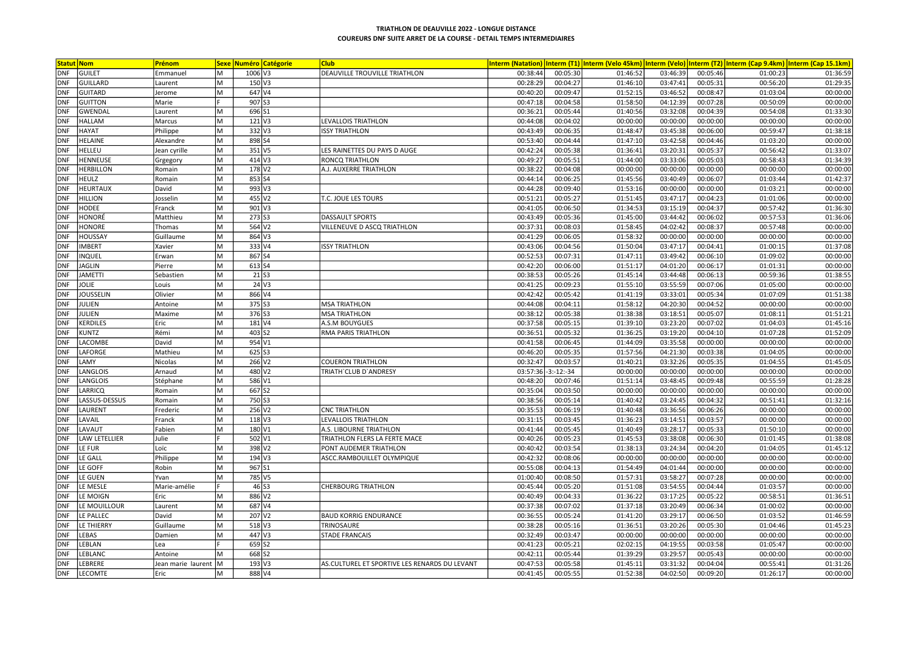| <b>Statut Nom</b> |                      | Prénom             | <b>Sexe</b> |                      | <b>Numéro Catégorie</b> | <b>Club</b>                                   |          |               |          |          |          | Interm (Natation)  Interm (T1)  Interm (Velo 45km)  Interm (Velo)  Interm (T2)  Interm (Cap 9.4km)  Interm (Cap 15.1km |          |
|-------------------|----------------------|--------------------|-------------|----------------------|-------------------------|-----------------------------------------------|----------|---------------|----------|----------|----------|------------------------------------------------------------------------------------------------------------------------|----------|
| <b>DNF</b>        | GUILET               | Emmanuel           | M           | 1006 V3              |                         | DEAUVILLE TROUVILLE TRIATHLON                 | 00:38:44 | 00:05:30      | 01:46:52 | 03:46:39 | 00:05:46 | 01:00:23                                                                                                               | 01:36:59 |
| <b>DNF</b>        | GUILLARD             | Laurent            | M           | $150$ V3             |                         |                                               | 00:28:29 | 00:04:27      | 01:46:10 | 03:47:41 | 00:05:31 | 00:56:20                                                                                                               | 01:29:35 |
| <b>DNF</b>        | GUITARD              | Jerome             | M           |                      | 647 V4                  |                                               | 00:40:20 | 00:09:47      | 01:52:15 | 03:46:52 | 00:08:47 | 01:03:04                                                                                                               | 00:00:00 |
| <b>DNF</b>        | <b>GUITTON</b>       | Marie              |             | 907 53               |                         |                                               | 00:47:18 | 00:04:58      | 01:58:50 | 04:12:39 | 00:07:28 | 00:50:09                                                                                                               | 00:00:00 |
| <b>DNF</b>        | <b>GWENDAL</b>       | Laurent            | M           | 696 S1               |                         |                                               | 00:36:21 | 00:05:44      | 01:40:56 | 03:32:08 | 00:04:39 | 00:54:08                                                                                                               | 01:33:30 |
| <b>DNF</b>        | <b>HALLAM</b>        | Marcus             | м           | $121$ V3             |                         | <b>LEVALLOIS TRIATHLON</b>                    | 00:44:08 | 00:04:02      | 00:00:00 | 00:00:00 | 00:00:00 | 00:00:00                                                                                                               | 00:00:00 |
| <b>DNF</b>        | <b>HAYAT</b>         | Philippe           | M           | 332 V3               |                         | <b>ISSY TRIATHLON</b>                         | 00:43:49 | 00:06:35      | 01:48:47 | 03:45:38 | 00:06:00 | 00:59:47                                                                                                               | 01:38:18 |
| <b>DNF</b>        | <b>HELAINE</b>       | Alexandre          | M           | 898 S4               |                         |                                               | 00:53:40 | 00:04:44      | 01:47:10 | 03:42:58 | 00:04:46 | 01:03:20                                                                                                               | 00:00:00 |
| <b>DNF</b>        | <b>HELLEU</b>        | Jean cyrille       | M           |                      | $351$ V <sub>5</sub>    | LES RAINETTES DU PAYS D AUGE                  | 00:42:24 | 00:05:38      | 01:36:41 | 03:20:31 | 00:05:37 | 00:56:42                                                                                                               | 01:33:07 |
| <b>DNF</b>        | HENNEUSE             | Grgegory           | M           |                      | 414 V3                  | <b>RONCQ TRIATHLON</b>                        | 00:49:27 | 00:05:51      | 01:44:00 | 03:33:06 | 00:05:03 | 00:58:43                                                                                                               | 01:34:39 |
| <b>DNF</b>        | <b>HERBILLON</b>     | Romain             | M           |                      | 178 V <sub>2</sub>      | A.J. AUXERRE TRIATHLON                        | 00:38:22 | 00:04:08      | 00:00:00 | 00:00:00 | 00:00:00 | 00:00:00                                                                                                               | 00:00:00 |
| <b>DNF</b>        | <b>HEULZ</b>         | Romain             | M           | 853 S4               |                         |                                               | 00:44:14 | 00:06:25      | 01:45:56 | 03:40:49 | 00:06:07 | 01:03:44                                                                                                               | 01:42:37 |
| <b>DNF</b>        | <b>HEURTAUX</b>      | David              | M           |                      | 993 V3                  |                                               | 00:44:28 | 00:09:40      | 01:53:16 | 00:00:00 | 00:00:00 | 01:03:21                                                                                                               | 00:00:00 |
| <b>DNF</b>        | <b>HILLION</b>       | Josselin           | M           |                      | 455 V2                  | T.C. JOUE LES TOURS                           | 00:51:21 | 00:05:27      | 01:51:45 | 03:47:17 | 00:04:23 | 01:01:06                                                                                                               | 00:00:00 |
| <b>DNF</b>        | HODEE                | Franck             | M           | 901 V3               |                         |                                               | 00:41:05 | 00:06:50      | 01:34:53 | 03:15:19 | 00:04:37 | 00:57:42                                                                                                               | 01:36:30 |
| DNF               | <b>HONORÉ</b>        | Matthieu           | M           | 273 S3               |                         | <b>DASSAULT SPORTS</b>                        | 00:43:49 | 00:05:36      | 01:45:00 | 03:44:42 | 00:06:02 | 00:57:53                                                                                                               | 01:36:06 |
| <b>DNF</b>        | <b>HONORE</b>        | Thomas             | M           |                      | 564 V <sub>2</sub>      | VILLENEUVE D ASCQ TRIATHLON                   | 00:37:31 | 00:08:03      | 01:58:45 | 04:02:42 | 00:08:37 | 00:57:48                                                                                                               | 00:00:00 |
| <b>DNF</b>        | <b>HOUSSAY</b>       | Guillaume          | M           |                      | 864 V3                  |                                               | 00:41:29 | 00:06:05      | 01:58:32 | 00:00:00 | 00:00:00 | 00:00:00                                                                                                               | 00:00:00 |
| <b>DNF</b>        | <b>IMBERT</b>        | Xavier             | M           | 333 V4               |                         | <b>ISSY TRIATHLON</b>                         | 00:43:06 | 00:04:56      | 01:50:04 | 03:47:17 | 00:04:41 | 01:00:15                                                                                                               | 01:37:08 |
| <b>DNF</b>        | <b>INQUEL</b>        | Erwan              | M           | 867 S4               |                         |                                               | 00:52:53 | 00:07:31      | 01:47:11 | 03:49:42 | 00:06:10 | 01:09:02                                                                                                               | 00:00:00 |
| <b>DNF</b>        | <b>JAGLIN</b>        | Pierre             | M           | 613 S4               |                         |                                               | 00:42:20 | 00:06:00      | 01:51:17 | 04:01:20 | 00:06:17 | 01:01:31                                                                                                               | 00:00:00 |
| <b>DNF</b>        | <b>JAMETTI</b>       | Sebastien          | M           |                      | $21$ S <sub>3</sub>     |                                               | 00:38:53 | 00:05:26      | 01:45:14 | 03:44:48 | 00:06:13 | 00:59:36                                                                                                               | 01:38:55 |
| <b>DNF</b>        | <b>JOLIE</b>         | Louis              | M           |                      | $24$ V <sub>3</sub>     |                                               | 00:41:25 | 00:09:23      | 01:55:10 | 03:55:59 | 00:07:06 | 01:05:00                                                                                                               | 00:00:00 |
| <b>DNF</b>        | <b>JOUSSELIN</b>     | Olivier            | M           |                      | 866 V4                  |                                               | 00:42:42 | 00:05:42      | 01:41:19 | 03:33:01 | 00:05:34 | 01:07:09                                                                                                               | 01:51:38 |
| DNF               | JULIEN               | Antoine            | M           | 375 S3               |                         | <b>MSA TRIATHLON</b>                          | 00:44:08 | 00:04:11      | 01:58:12 | 04:20:30 | 00:04:52 | 00:00:00                                                                                                               | 00:00:00 |
| <b>DNF</b>        | JULIEN               | Maxime             | M           | 376 S3               |                         | <b>MSA TRIATHLON</b>                          | 00:38:12 | 00:05:38      | 01:38:38 | 03:18:51 | 00:05:07 | 01:08:11                                                                                                               | 01:51:21 |
| <b>DNF</b>        | <b>KERDILES</b>      | Eric               | M           |                      | 181 V4                  | A.S.M BOUYGUES                                | 00:37:58 | 00:05:15      | 01:39:10 | 03:23:20 | 00:07:02 | 01:04:03                                                                                                               | 01:45:16 |
| <b>DNF</b>        | <b>KUNTZ</b>         | Rémi               | M           | 403 S2               |                         | RMA PARIS TRIATHLON                           | 00:36:51 | 00:05:32      | 01:36:25 | 03:19:20 | 00:04:10 | 01:07:28                                                                                                               | 01:52:09 |
| <b>DNF</b>        | LACOMBE              | David              | M           | 954 V1               |                         |                                               | 00:41:58 | 00:06:45      | 01:44:09 | 03:35:58 | 00:00:00 | 00:00:00                                                                                                               | 00:00:00 |
| <b>DNF</b>        | LAFORGE              | Mathieu            | M           | $625$ S3             |                         |                                               | 00:46:20 | 00:05:35      | 01:57:56 | 04:21:30 | 00:03:38 | 01:04:05                                                                                                               | 00:00:00 |
| <b>DNF</b>        | LAMY                 | Nicolas            | M           |                      | 266 V <sub>2</sub>      | <b>COUERON TRIATHLON</b>                      | 00:32:47 | 00:03:57      | 01:40:21 | 03:32:26 | 00:05:35 | 01:04:55                                                                                                               | 01:45:05 |
| <b>DNF</b>        | LANGLOIS             | Arnaud             | M           |                      | 480 V2                  | TRIATH'CLUB D'ANDRESY                         | 03:57:36 | $-3: -12:-34$ | 00:00:00 | 00:00:00 | 00:00:00 | 00:00:00                                                                                                               | 00:00:00 |
| <b>DNF</b>        | LANGLOIS             | Stéphane           | M           | 586 V1               |                         |                                               | 00:48:20 | 00:07:46      | 01:51:14 | 03:48:45 | 00:09:48 | 00:55:59                                                                                                               | 01:28:28 |
| <b>DNF</b>        | LARRICQ              | Romain             | M           | 667 S2               |                         |                                               | 00:35:04 | 00:03:50      | 00:00:00 | 00:00:00 | 00:00:00 | 00:00:00                                                                                                               | 00:00:00 |
| <b>DNF</b>        | LASSUS-DESSUS        | Romain             | M           | 750 S3               |                         |                                               | 00:38:56 | 00:05:14      | 01:40:42 | 03:24:45 | 00:04:32 | 00:51:41                                                                                                               | 01:32:16 |
| <b>DNF</b>        | LAURENT              | Frederic           | M           | 256 V <sub>2</sub>   |                         | <b>CNC TRIATHLON</b>                          | 00:35:53 | 00:06:19      | 01:40:48 | 03:36:56 | 00:06:26 | 00:00:00                                                                                                               | 00:00:00 |
| <b>DNF</b>        | LAVAIL               | Franck             | M           |                      | $118$ V <sub>3</sub>    | LEVALLOIS TRIATHLON                           | 00:31:15 | 00:03:45      | 01:36:23 | 03:14:51 | 00:03:57 | 00:00:00                                                                                                               | 00:00:00 |
| <b>DNF</b>        | LAVAUT               | Fabien             | M           | 180 V1               |                         | A.S. LIBOURNE TRIATHLON                       | 00:41:44 | 00:05:45      | 01:40:49 | 03:28:17 | 00:05:33 | 01:50:10                                                                                                               | 00:00:00 |
| <b>DNF</b>        | <b>LAW LETELLIER</b> | Julie              |             | 502 V1               |                         | TRIATHLON FLERS LA FERTE MACE                 | 00:40:26 | 00:05:23      | 01:45:53 | 03:38:08 | 00:06:30 | 01:01:45                                                                                                               | 01:38:08 |
| <b>DNF</b>        | LE FUR               | Loïc               | M           |                      | 398 V2                  | PONT AUDEMER TRIATHLON                        | 00:40:42 | 00:03:54      | 01:38:13 | 03:24:34 | 00:04:20 | 01:04:05                                                                                                               | 01:45:12 |
| <b>DNF</b>        | LE GALL              | Philippe           | M           |                      | $194$ V <sub>3</sub>    | ASCC.RAMBOUILLET OLYMPIQUE                    | 00:42:32 | 00:08:06      | 00:00:00 | 00:00:00 | 00:00:00 | 00:00:00                                                                                                               | 00:00:00 |
| <b>DNF</b>        | LE GOFF              | Robin              | M           | 967 S1               |                         |                                               | 00:55:08 | 00:04:13      | 01:54:49 | 04:01:44 | 00:00:00 | 00:00:00                                                                                                               | 00:00:00 |
| <b>DNF</b>        | LE GUEN              | Yvan               | M           |                      | 785 V5                  |                                               | 01:00:40 | 00:08:50      | 01:57:31 | 03:58:27 | 00:07:28 | 00:00:00                                                                                                               | 00:00:00 |
| <b>DNF</b>        | LE MESLE             | Marie-amélie       |             |                      | 46 S3                   | <b>CHERBOURG TRIATHLON</b>                    | 00:45:44 | 00:05:20      | 01:51:08 | 03:54:55 | 00:04:44 | 01:03:57                                                                                                               | 00:00:00 |
| <b>DNF</b>        | LE MOIGN             | Eric               | M           |                      | 886 V2                  |                                               | 00:40:49 | 00:04:33      | 01:36:22 | 03:17:25 | 00:05:22 | 00:58:51                                                                                                               | 01:36:51 |
| <b>DNF</b>        | LE MOUILLOUR         | Laurent            | M           |                      | 687 V4                  |                                               | 00:37:38 | 00:07:02      | 01:37:18 | 03:20:49 | 00:06:34 | 01:00:02                                                                                                               | 00:00:00 |
| <b>DNF</b>        | LE PALLEC            | David              | M           |                      | 207 V2                  | <b>BAUD KORRIG ENDURANCE</b>                  | 00:36:55 | 00:05:24      | 01:41:20 | 03:29:17 | 00:06:50 | 01:03:52                                                                                                               | 01:46:59 |
| <b>DNF</b>        | <b>LE THIERRY</b>    | Guillaume          | M           | $518$ V3             |                         | TRINOSAURE                                    | 00:38:28 | 00:05:16      | 01:36:51 | 03:20:26 | 00:05:30 | 01:04:46                                                                                                               | 01:45:23 |
| <b>DNF</b>        | LEBAS                | Damien             | M           |                      | 447 V3                  | <b>STADE FRANCAIS</b>                         | 00:32:49 | 00:03:47      | 00:00:00 | 00:00:00 | 00:00:00 | 00:00:00                                                                                                               | 00:00:00 |
| <b>DNF</b>        | LEBLAN               | Lea                |             | 659 S2               |                         |                                               | 00:41:23 | 00:05:21      | 02:02:15 | 04:19:55 | 00:03:58 | 01:05:47                                                                                                               | 00:00:00 |
| <b>DNF</b>        | LEBLANC              | Antoine            | M           | 668 52               |                         |                                               | 00:42:11 | 00:05:44      | 01:39:29 | 03:29:57 | 00:05:43 | 00:00:00                                                                                                               | 00:00:00 |
| <b>DNF</b>        | LEBRERE              | Jean marie laurent | lм          | $193$ V <sub>3</sub> |                         | AS.CULTUREL ET SPORTIVE LES RENARDS DU LEVANT | 00:47:53 | 00:05:58      | 01:45:11 | 03:31:32 | 00:04:04 | 00:55:41                                                                                                               | 01:31:26 |
| <b>DNF</b>        | LECOMTE              | Eric               | M           |                      | 888 V4                  |                                               | 00:41:45 | 00:05:55      | 01:52:38 | 04:02:50 | 00:09:20 | 01:26:17                                                                                                               | 00:00:00 |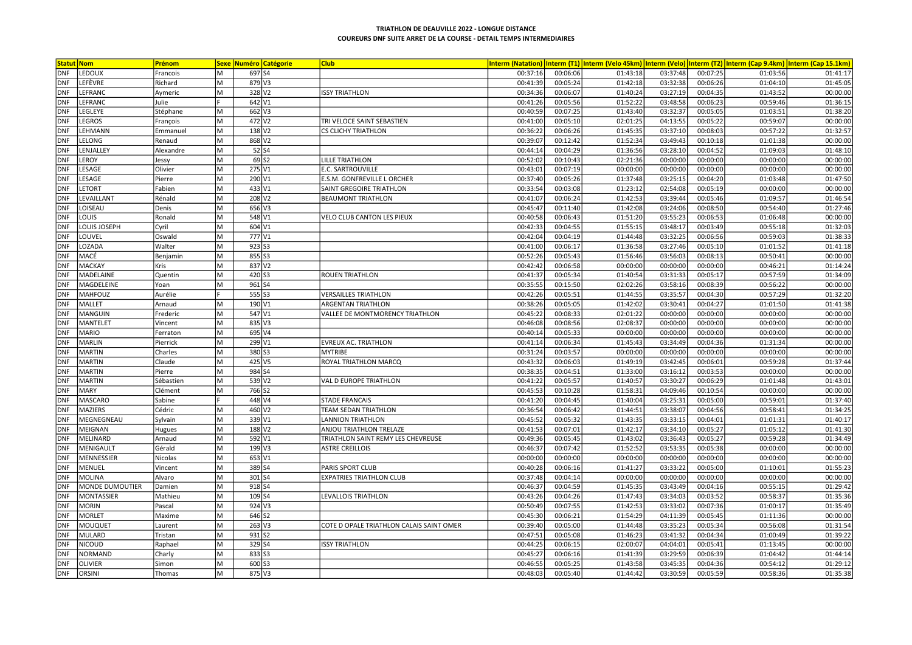| <b>Statut Nom</b> |                        | Prénom    |   | <b>Sexe Numéro Catégorie</b> | <b>Club</b>                              |          |          |          |          |          | Interm (Natation)  Interm (T1)  Interm (Velo 45km)  Interm (Velo)  Interm (T2)  Interm (Cap 9.4km)  Interm (Cap 15.1km |          |
|-------------------|------------------------|-----------|---|------------------------------|------------------------------------------|----------|----------|----------|----------|----------|------------------------------------------------------------------------------------------------------------------------|----------|
| <b>DNF</b>        | LEDOUX                 | Francois  | M | 697 S4                       |                                          | 00:37:16 | 00:06:06 | 01:43:18 | 03:37:48 | 00:07:25 | 01:03:56                                                                                                               | 01:41:17 |
| <b>DNF</b>        | <b>LEFÈVRE</b>         | Richard   | M | $879$ V3                     |                                          | 00:41:39 | 00:05:24 | 01:42:18 | 03:32:38 | 00:06:26 | 01:04:10                                                                                                               | 01:45:05 |
| <b>DNF</b>        | LEFRANC                | Aymeric   | M | 328 V <sub>2</sub>           | <b>ISSY TRIATHLON</b>                    | 00:34:36 | 00:06:07 | 01:40:24 | 03:27:19 | 00:04:35 | 01:43:52                                                                                                               | 00:00:00 |
| DNF               | LEFRANC                | Julie     |   | 642 V1                       |                                          | 00:41:26 | 00:05:56 | 01:52:22 | 03:48:58 | 00:06:23 | 00:59:46                                                                                                               | 01:36:15 |
| <b>DNF</b>        | LEGLEYE                | Stéphane  | M | $662$ V3                     |                                          | 00:40:59 | 00:07:25 | 01:43:40 | 03:32:37 | 00:05:05 | 01:03:51                                                                                                               | 01:38:20 |
| <b>DNF</b>        | <b>LEGROS</b>          | François  | M | 472 V2                       | TRI VELOCE SAINT SEBASTIEN               | 00:41:00 | 00:05:10 | 02:01:25 | 04:13:55 | 00:05:22 | 00:59:07                                                                                                               | 00:00:00 |
| DNF               | LEHMANN                | Emmanuel  | M | $138$ V <sub>2</sub>         | <b>CS CLICHY TRIATHLON</b>               | 00:36:22 | 00:06:26 | 01:45:35 | 03:37:10 | 00:08:03 | 00:57:22                                                                                                               | 01:32:57 |
| <b>DNF</b>        | LELONG                 | Renaud    | M | 868 V2                       |                                          | 00:39:07 | 00:12:42 | 01:52:34 | 03:49:43 | 00:10:18 | 01:01:38                                                                                                               | 00:00:00 |
| <b>DNF</b>        | LENJALLEY              | Alexandre | M | $52$ S4                      |                                          | 00:44:14 | 00:04:29 | 01:36:56 | 03:28:10 | 00:04:52 | 01:09:03                                                                                                               | 01:48:10 |
| <b>DNF</b>        | LEROY                  | Jessy     | M | 69 S2                        | <b>LILLE TRIATHLON</b>                   | 00:52:02 | 00:10:43 | 02:21:36 | 00:00:00 | 00:00:00 | 00:00:00                                                                                                               | 00:00:00 |
| <b>DNF</b>        | LESAGE                 | Olivier   | M | 275 V1                       | E.C. SARTROUVILLE                        | 00:43:01 | 00:07:19 | 00:00:00 | 00:00:00 | 00:00:00 | 00:00:00                                                                                                               | 00:00:00 |
| <b>DNF</b>        | LESAGE                 | Pierre    | M | 290 V1                       | E.S.M. GONFREVILLE L ORCHER              | 00:37:40 | 00:05:26 | 01:37:48 | 03:25:15 | 00:04:20 | 01:03:48                                                                                                               | 01:47:50 |
| <b>DNF</b>        | <b>LETORT</b>          | Fabien    | M | 433 V1                       | SAINT GREGOIRE TRIATHLON                 | 00:33:54 | 00:03:08 | 01:23:12 | 02:54:08 | 00:05:19 | 00:00:00                                                                                                               | 00:00:00 |
| <b>DNF</b>        | LEVAILLANT             | Rénald    | M | $208$ V <sub>2</sub>         | <b>BEAUMONT TRIATHLON</b>                | 00:41:07 | 00:06:24 | 01:42:53 | 03:39:44 | 00:05:46 | 01:09:57                                                                                                               | 01:46:54 |
| <b>DNF</b>        | LOISEAU                | Denis     | M | 656 V3                       |                                          | 00:45:47 | 00:11:40 | 01:42:08 | 03:24:06 | 00:08:50 | 00:54:40                                                                                                               | 01:27:46 |
| <b>DNF</b>        | LOUIS                  | Ronald    | M | 548 V1                       | VELO CLUB CANTON LES PIEUX               | 00:40:58 | 00:06:43 | 01:51:20 | 03:55:23 | 00:06:53 | 01:06:48                                                                                                               | 00:00:00 |
| <b>DNF</b>        | LOUIS JOSEPH           | Cyril     | M | 604 V1                       |                                          | 00:42:33 | 00:04:55 | 01:55:15 | 03:48:17 | 00:03:49 | 00:55:18                                                                                                               | 01:32:03 |
| <b>DNF</b>        | LOUVEL                 | Oswald    | M | 777 V1                       |                                          | 00:42:04 | 00:04:19 | 01:44:48 | 03:32:25 | 00:06:56 | 00:59:03                                                                                                               | 01:38:33 |
| <b>DNF</b>        | LOZADA                 | Walter    | M | $923$ S3                     |                                          | 00:41:00 | 00:06:17 | 01:36:58 | 03:27:46 | 00:05:10 | 01:01:52                                                                                                               | 01:41:18 |
| <b>DNF</b>        | MACÉ                   | Benjamin  | M | 855 S3                       |                                          | 00:52:26 | 00:05:43 | 01:56:46 | 03:56:03 | 00:08:13 | 00:50:41                                                                                                               | 00:00:00 |
| <b>DNF</b>        | <b>MACKAY</b>          | Kris      | M | 837 V2                       |                                          | 00:42:42 | 00:06:58 | 00:00:00 | 00:00:00 | 00:00:00 | 00:46:21                                                                                                               | 01:14:24 |
| <b>DNF</b>        | MADELAINE              | Quentin   | M | 420 S3                       | <b>ROUEN TRIATHLON</b>                   | 00:41:37 | 00:05:34 | 01:40:54 | 03:31:33 | 00:05:17 | 00:57:59                                                                                                               | 01:34:09 |
| <b>DNF</b>        | MAGDELEINE             | Yoan      | M | 961 S4                       |                                          | 00:35:55 | 00:15:50 | 02:02:26 | 03:58:16 | 00:08:39 | 00:56:22                                                                                                               | 00:00:00 |
| <b>DNF</b>        | MAHFOUZ                | Aurélie   |   | 555 S3                       | <b>VERSAILLES TRIATHLON</b>              | 00:42:26 | 00:05:51 | 01:44:55 | 03:35:57 | 00:04:30 | 00:57:29                                                                                                               | 01:32:20 |
| <b>DNF</b>        | <b>MALLET</b>          | Arnaud    | M | 190 V1                       | <b>ARGENTAN TRIATHLON</b>                | 00:38:26 | 00:05:05 | 01:42:02 | 03:30:41 | 00:04:27 | 01:01:50                                                                                                               | 01:41:38 |
| <b>DNF</b>        | MANGUIN                | Frederic  | M | 547 V1                       | VALLEE DE MONTMORENCY TRIATHLON          | 00:45:22 | 00:08:33 | 02:01:22 | 00:00:00 | 00:00:00 | 00:00:00                                                                                                               | 00:00:00 |
| <b>DNF</b>        | <b>MANTELET</b>        | Vincent   | M | $835$ V <sub>3</sub>         |                                          | 00:46:08 | 00:08:56 | 02:08:37 | 00:00:00 | 00:00:00 | 00:00:00                                                                                                               | 00:00:00 |
| <b>DNF</b>        | <b>MARIO</b>           | Ferraton  | M | 695 V4                       |                                          | 00:40:14 | 00:05:33 | 00:00:00 | 00:00:00 | 00:00:00 | 00:00:00                                                                                                               | 00:00:00 |
| <b>DNF</b>        | <b>MARLIN</b>          | Pierrick  | M | 299 V1                       | EVREUX AC. TRIATHLON                     | 00:41:14 | 00:06:34 | 01:45:43 | 03:34:49 | 00:04:36 | 01:31:34                                                                                                               | 00:00:00 |
| <b>DNF</b>        | <b>MARTIN</b>          | Charles   | M | 380 S3                       | <b>MYTRIBE</b>                           | 00:31:24 | 00:03:57 | 00:00:00 | 00:00:00 | 00:00:00 | 00:00:00                                                                                                               | 00:00:00 |
| <b>DNF</b>        | <b>MARTIN</b>          | Claude    | M | 425 V5                       | ROYAL TRIATHLON MARCO                    | 00:43:32 | 00:06:03 | 01:49:19 | 03:42:45 | 00:06:01 | 00:59:28                                                                                                               | 01:37:44 |
| <b>DNF</b>        | <b>MARTIN</b>          | Pierre    | M | 984 S4                       |                                          | 00:38:35 | 00:04:51 | 01:33:00 | 03:16:12 | 00:03:53 | 00:00:00                                                                                                               | 00:00:00 |
| DNF               | <b>MARTIN</b>          | Sébastien | M | $539$ $V2$                   | VAL D EUROPE TRIATHLON                   | 00:41:22 | 00:05:57 | 01:40:57 | 03:30:27 | 00:06:29 | 01:01:48                                                                                                               | 01:43:01 |
| <b>DNF</b>        | <b>MARY</b>            | Clément   | M | 766 S2                       |                                          | 00:45:53 | 00:10:28 | 01:58:31 | 04:09:46 | 00:10:54 | 00:00:00                                                                                                               | 00:00:00 |
| <b>DNF</b>        | <b>MASCARO</b>         | Sabine    |   | 448 V4                       | <b>STADE FRANCAIS</b>                    | 00:41:20 | 00:04:45 | 01:40:04 | 03:25:31 | 00:05:00 | 00:59:01                                                                                                               | 01:37:40 |
| <b>DNF</b>        | <b>MAZIERS</b>         | Cédric    | M | 460 V <sub>2</sub>           | <b>TEAM SEDAN TRIATHLON</b>              | 00:36:54 | 00:06:42 | 01:44:51 | 03:38:07 | 00:04:56 | 00:58:41                                                                                                               | 01:34:25 |
| <b>DNF</b>        | MEGNEGNEAU             | Sylvain   | M | 339 V1                       | <b>LANNION TRIATHLON</b>                 | 00:45:52 | 00:05:32 | 01:43:35 | 03:33:15 | 00:04:01 | 01:01:31                                                                                                               | 01:40:17 |
| <b>DNF</b>        | MEIGNAN                | Hugues    | M | 188 V <sub>2</sub>           | ANJOU TRIATHLON TRELAZE                  | 00:41:53 | 00:07:01 | 01:42:17 | 03:34:10 | 00:05:27 | 01:05:12                                                                                                               | 01:41:30 |
| <b>DNF</b>        | MELINARD               | Arnaud    | M | 592 V1                       | TRIATHLON SAINT REMY LES CHEVREUSE       | 00:49:36 | 00:05:45 | 01:43:02 | 03:36:43 | 00:05:27 | 00:59:28                                                                                                               | 01:34:49 |
| <b>DNF</b>        | MENIGAULT              | Gérald    | M | 199 V3                       | <b>ASTRE CREILLOIS</b>                   | 00:46:37 | 00:07:42 | 01:52:52 | 03:53:35 | 00:05:38 | 00:00:00                                                                                                               | 00:00:00 |
| <b>DNF</b>        | MENNESSIER             | Nicolas   | M | 653 V1                       |                                          | 00:00:00 | 00:00:00 | 00:00:00 | 00:00:00 | 00:00:00 | 00:00:00                                                                                                               | 00:00:00 |
| <b>DNF</b>        | MENUEL                 | Vincent   | M | 389 S4                       | PARIS SPORT CLUB                         | 00:40:28 | 00:06:16 | 01:41:27 | 03:33:22 | 00:05:00 | 01:10:01                                                                                                               | 01:55:23 |
| <b>DNF</b>        | MOLINA                 | Alvaro    | M | 301 S4                       | <b>EXPATRIES TRIATHLON CLUB</b>          | 00:37:48 | 00:04:14 | 00:00:00 | 00:00:00 | 00:00:00 | 00:00:00                                                                                                               | 00:00:00 |
| <b>DNF</b>        | <b>MONDE DUMOUTIER</b> | Damien    | M | 918 S4                       |                                          | 00:46:37 | 00:04:59 | 01:45:35 | 03:43:49 | 00:04:16 | 00:55:15                                                                                                               | 01:29:42 |
| <b>DNF</b>        | MONTASSIER             | Mathieu   | M | 109 S4                       | LEVALLOIS TRIATHLON                      | 00:43:26 | 00:04:26 | 01:47:43 | 03:34:03 | 00:03:52 | 00:58:37                                                                                                               | 01:35:36 |
| DNF               | <b>MORIN</b>           | Pascal    | M | $924$ V <sub>3</sub>         |                                          | 00:50:49 | 00:07:55 | 01:42:53 | 03:33:02 | 00:07:36 | 01:00:17                                                                                                               | 01:35:49 |
| <b>DNF</b>        | MORLET                 | Maxime    | M | 646 S2                       |                                          | 00:45:30 | 00:06:21 | 01:54:29 | 04:11:39 | 00:05:45 | 01:11:36                                                                                                               | 00:00:00 |
| <b>DNF</b>        | <b>MOUQUET</b>         | Laurent   | M | $263$ V3                     | COTE D OPALE TRIATHLON CALAIS SAINT OMER | 00:39:40 | 00:05:00 | 01:44:48 | 03:35:23 | 00:05:34 | 00:56:08                                                                                                               | 01:31:54 |
| <b>DNF</b>        | MULARD                 | Tristan   | M | $931$ S <sub>2</sub>         |                                          | 00:47:51 | 00:05:08 | 01:46:23 | 03:41:32 | 00:04:34 | 01:00:49                                                                                                               | 01:39:22 |
| <b>DNF</b>        | NICOUD                 | Raphael   | M | 329 S4                       | <b>ISSY TRIATHLON</b>                    | 00:44:25 | 00:06:15 | 02:00:07 | 04:04:01 | 00:05:41 | 01:13:45                                                                                                               | 00:00:00 |
| <b>DNF</b>        | <b>NORMAND</b>         | Charly    | M | 833 S3                       |                                          | 00:45:27 | 00:06:16 | 01:41:39 | 03:29:59 | 00:06:39 | 01:04:42                                                                                                               | 01:44:14 |
| <b>DNF</b>        | OLIVIER                | Simon     | M | 600 S3                       |                                          | 00:46:55 | 00:05:25 | 01:43:58 | 03:45:35 | 00:04:36 | 00:54:12                                                                                                               | 01:29:12 |
| <b>DNF</b>        | ORSINI                 | Thomas    | M | 875 V3                       |                                          | 00:48:03 | 00:05:40 | 01:44:42 | 03:30:59 | 00:05:59 | 00:58:36                                                                                                               | 01:35:38 |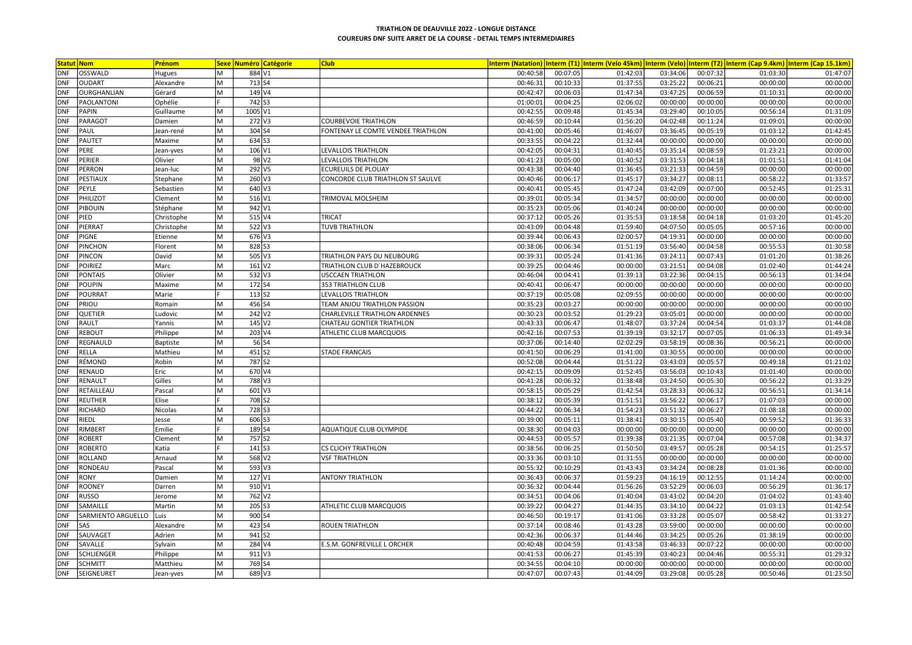|                          | <b>Statut Nom</b>             | Prénom            |        |                    | <b>Sexe Numéro Catégorie</b> | <b>Club</b>                        |                      |                      |                      |                      |                      |                      | Interm (Natation) Interm (T1) Interm (Velo 45km) Interm (Velo) Interm (T2) Interm (Cap 9.4km) Interm (Cap 15.1km) |
|--------------------------|-------------------------------|-------------------|--------|--------------------|------------------------------|------------------------------------|----------------------|----------------------|----------------------|----------------------|----------------------|----------------------|-------------------------------------------------------------------------------------------------------------------|
| <b>DNF</b>               | OSSWALD                       | Hugues            | M      |                    | 884 V1                       |                                    | 00:40:58             | 00:07:05             | 01:42:03             | 03:34:06             | 00:07:32             | 01:03:30             | 01:47:07                                                                                                          |
| <b>DNF</b>               | <b>OUDART</b>                 | Alexandre         | M      | 713 S4             |                              |                                    | 00:46:31             | 00:10:33             | 01:37:55             | 03:25:22             | 00:06:21             | 00:00:00             | 00:00:00                                                                                                          |
| <b>DNF</b>               | OURGHANLIAN                   | Gérard            | M      |                    | 149 V4                       |                                    | 00:42:47             | 00:06:03             | 01:47:34             | 03:47:25             | 00:06:59             | 01:10:31             | 00:00:00                                                                                                          |
| <b>DNF</b>               | PAOLANTONI                    | Ophélie           |        | 742 S3             |                              |                                    | 01:00:01             | 00:04:25             | 02:06:02             | 00:00:00             | 00:00:00             | 00:00:00             | 00:00:00                                                                                                          |
| <b>DNF</b>               | PAPIN                         | Guillaume         | M      | 1005 V1            |                              |                                    | 00:42:55             | 00:09:48             | 01:45:34             | 03:29:40             | 00:10:05             | 00:56:14             | 01:31:09                                                                                                          |
| <b>DNF</b>               | PARAGOT                       | Damien            | M      |                    | 272 V3                       | <b>COURBEVOIE TRIATHLON</b>        | 00:46:59             | 00:10:44             | 01:56:20             | 04:02:48             | 00:11:24             | 01:09:01             | 00:00:00                                                                                                          |
| <b>DNF</b>               | PAUL                          | Jean-rené         | M      | 304 S4             |                              | FONTENAY LE COMTE VENDEE TRIATHLON | 00:41:00             | 00:05:46             | 01:46:07             | 03:36:45             | 00:05:19             | 01:03:12             | 01:42:45                                                                                                          |
| <b>DNF</b>               | PAUTET                        | Maxime            | M      | 634 S3             |                              |                                    | 00:33:55             | 00:04:22             | 01:32:44             | 00:00:00             | 00:00:00             | 00:00:00             | 00:00:00                                                                                                          |
| <b>DNF</b>               | PERE                          | Jean-yves         | M      |                    | 106 V1                       | LEVALLOIS TRIATHLON                | 00:42:05             | 00:04:31             | 01:40:45             | 03:35:14             | 00:08:59             | 01:23:21             | 00:00:00                                                                                                          |
| <b>DNF</b>               | PERIER                        | Olivier           | M      |                    | 98 V <sub>2</sub>            | LEVALLOIS TRIATHLON                | 00:41:23             | 00:05:00             | 01:40:52             | 03:31:53             | 00:04:18             | 01:01:51             | 01:41:04                                                                                                          |
| <b>DNF</b>               | <b>PERRON</b>                 | Jean-luc          | M      |                    | 292 V5                       | ECUREUILS DE PLOUAY                | 00:43:38             | 00:04:40             | 01:36:45             | 03:21:33             | 00:04:59             | 00:00:00             | 00:00:00                                                                                                          |
| <b>DNF</b>               | PESTIAUX                      | Stephane          | M      |                    | $260$ V3                     | CONCORDE CLUB TRIATHLON ST SAULVE  | 00:40:46             | 00:06:17             | 01:45:17             | 03:34:27             | 00:08:11             | 00:58:22             | 01:33:57                                                                                                          |
| <b>DNF</b>               | PEYLE                         | Sebastien         | M      |                    | $640$ V3                     |                                    | 00:40:41             | 00:05:45             | 01:47:24             | 03:42:09             | 00:07:00             | 00:52:45             | 01:25:31                                                                                                          |
| <b>DNF</b>               | PHILIZOT                      | Clement           | M      |                    | 516 V1                       | TRIMOVAL MOLSHEIM                  | 00:39:01             | 00:05:34             | 01:34:57             | 00:00:00             | 00:00:00             | 00:00:00             | 00:00:00                                                                                                          |
| <b>DNF</b>               | PIBOUIN                       | Stéphane          | M      | 942 V1             |                              |                                    | 00:35:23             | 00:05:06             | 01:40:24             | 00:00:00             | 00:00:00             | 00:00:00             | 00:00:00                                                                                                          |
| <b>DNF</b>               | PIED                          | Christophe        | M      |                    | $515$ V4                     | <b>TRICAT</b>                      | 00:37:12             | 00:05:26             | 01:35:53             | 03:18:58             | 00:04:18             | 01:03:20             | 01:45:20                                                                                                          |
| <b>DNF</b>               | PIERRAT                       | Christophe        | M      |                    | $522$ V3                     | <b>TUVB TRIATHLON</b>              | 00:43:09             | 00:04:48             | 01:59:40             | 04:07:50             | 00:05:05             | 00:57:16             | 00:00:00                                                                                                          |
| <b>DNF</b>               | PIGNE                         | Etienne           | M      |                    | 676 V3                       |                                    | 00:39:44             | 00:06:43             | 02:00:57             | 04:19:31             | 00:00:00             | 00:00:00             | 00:00:00                                                                                                          |
| <b>DNF</b>               | <b>PINCHON</b>                | Florent           | M      | 828 53             |                              |                                    | 00:38:06             | 00:06:34             | 01:51:19             | 03:56:40             | 00:04:58             | 00:55:53             | 01:30:58                                                                                                          |
| <b>DNF</b>               | PINCON                        | David             | M      |                    | $505$ V3                     | TRIATHLON PAYS DU NEUBOURG         | 00:39:31             | 00:05:24             | 01:41:36             | 03:24:11             | 00:07:43             | 01:01:20             | 01:38:26                                                                                                          |
| <b>DNF</b>               | <b>POIRIEZ</b>                | Marc              | M      |                    | $161$ V <sub>2</sub>         | TRIATHLON CLUB D'HAZEBROUCK        | 00:39:25             | 00:04:46             | 00:00:00             | 03:21:51             | 00:04:08             | 01:02:40             | 01:44:24                                                                                                          |
| <b>DNF</b>               | <b>PONTAIS</b>                | Olivier           | M      |                    | $532$ V <sub>3</sub>         | <b>USCCAEN TRIATHLON</b>           | 00:46:04             | 00:04:41             | 01:39:13             | 03:22:36             | 00:04:15             | 00:56:13             | 01:34:04                                                                                                          |
| <b>DNF</b>               | <b>POUPIN</b>                 | Maxime            | M      | 172 S4             |                              | 353 TRIATHLON CLUB                 | 00:40:41             | 00:06:47             | 00:00:00             | 00:00:00             | 00:00:00             | 00:00:00             | 00:00:00                                                                                                          |
| <b>DNF</b>               | POURRAT                       | Marie             |        | 113 S2             |                              | LEVALLOIS TRIATHLON                | 00:37:19             | 00:05:08             | 02:09:55             | 00:00:00             | 00:00:00             | 00:00:00             | 00:00:00                                                                                                          |
| <b>DNF</b>               | PRIOU                         | Romain            | M      | 456 S4             |                              | TEAM ANJOU TRIATHLON PASSION       | 00:35:23             | 00:03:27             | 00:00:00             | 00:00:00             | 00:00:00             | 00:00:00             | 00:00:00                                                                                                          |
| <b>DNF</b>               | <b>QUETIER</b>                | Ludovic           | M      |                    | 242 V <sub>2</sub>           | CHARLEVILLE TRIATHLON ARDENNES     | 00:30:23             | 00:03:52             | 01:29:23             | 03:05:01             | 00:00:00             | 00:00:00             | 00:00:00                                                                                                          |
| <b>DNF</b>               | RAULT                         | Yannis            | M      |                    | $145$ V <sub>2</sub>         | CHATEAU GONTIER TRIATHLON          | 00:43:33             | 00:06:47             | 01:48:07             | 03:37:24             | 00:04:54             | 01:03:37             | 01:44:08                                                                                                          |
| <b>DNF</b>               | REBOUT                        | Philippe          | M      |                    | $203$ V4                     | ATHLETIC CLUB MARCQUOIS            | 00:42:16             | 00:07:53             | 01:39:19             | 03:32:17             | 00:07:05             | 01:06:33             | 01:49:34                                                                                                          |
| <b>DNF</b>               | REGNAULD                      | <b>Baptiste</b>   | M      |                    | $56$ S4                      |                                    | 00:37:06             | 00:14:40             | 02:02:29             | 03:58:19             | 00:08:36             | 00:56:21             | 00:00:00                                                                                                          |
| <b>DNF</b>               | <b>RELLA</b>                  | Mathieu           | M      | 451 S2             |                              | <b>STADE FRANCAIS</b>              | 00:41:50             | 00:06:29             | 01:41:00             | 03:30:55             | 00:00:00             | 00:00:00             | 00:00:00                                                                                                          |
| <b>DNF</b>               | RÉMOND                        | Robin             | M      | 787 S2             |                              |                                    | 00:52:08             | 00:04:44             | 01:51:22             | 03:43:03             | 00:05:57             | 00:49:18             | 01:21:02                                                                                                          |
| <b>DNF</b>               | RENAUD                        | Eric              | M      |                    | 670 V4                       |                                    | 00:42:15             | 00:09:09             | 01:52:45             | 03:56:03             | 00:10:43             | 01:01:40             | 00:00:00                                                                                                          |
| <b>DNF</b>               | RENAULT                       | Gilles            | M      |                    | 788 V3                       |                                    | 00:41:28             | 00:06:32             | 01:38:48             | 03:24:50             | 00:05:30             | 00:56:22             | 01:33:29                                                                                                          |
| <b>DNF</b>               | RETAILLEAU                    | Pascal            | M      |                    | $601$ V3                     |                                    | 00:58:15             | 00:05:29             | 01:42:54             | 03:28:33             | 00:06:32             | 00:56:51             | 01:34:14                                                                                                          |
| <b>DNF</b>               | <b>REUTHER</b>                | Elise             |        | 708 S2             |                              |                                    | 00:38:12             | 00:05:39             | 01:51:51             | 03:56:22             | 00:06:17             | 01:07:03             | 00:00:00                                                                                                          |
| DNF                      | RICHARD                       | Nicolas           | M      | 728 S3             |                              |                                    | 00:44:22             | 00:06:34             | 01:54:23             | 03:51:32             | 00:06:27             | 01:08:18             | 00:00:00                                                                                                          |
| <b>DNF</b>               | RIEDL                         | Jesse             | M      | 606 S3             |                              |                                    | 00:39:00             | 00:05:11             | 01:38:41             | 03:30:15             | 00:05:40             | 00:59:52             | 01:36:33                                                                                                          |
| <b>DNF</b>               | RIMBERT                       | Emilie            |        | 189 S4             |                              | AQUATIQUE CLUB OLYMPIDE            | 00:38:30             | 00:04:03             | 00:00:00             | 00:00:00             | 00:00:00             | 00:00:00             | 00:00:00                                                                                                          |
| <b>DNF</b>               | <b>ROBERT</b>                 | Clement           | M      | 757 S2<br>$141$ S3 |                              |                                    | 00:44:53             | 00:05:57             | 01:39:38<br>01:50:50 | 03:21:35<br>03:49:57 | 00:07:04<br>00:05:28 | 00:57:08             | 01:34:37                                                                                                          |
| <b>DNF</b>               | <b>ROBERTO</b>                | Katia             |        |                    |                              | <b>CS CLICHY TRIATHLON</b>         | 00:38:56             | 00:06:25             |                      |                      |                      | 00:54:15             | 01:25:57                                                                                                          |
| <b>DNF</b>               | ROLLAND                       | Arnaud            | M      |                    | 568 V2                       | <b>VSF TRIATHLON</b>               | 00:33:36             | 00:03:10             | 01:31:55             | 00:00:00             | 00:00:00             | 00:00:00             | 00:00:00                                                                                                          |
| <b>DNF</b><br><b>DNF</b> | RONDEAU<br>RONY               | Pascal            | M<br>M |                    | 593 V3<br>127 V1             | <b>ANTONY TRIATHLON</b>            | 00:55:32<br>00:36:43 | 00:10:29<br>00:06:37 | 01:43:43<br>01:59:23 | 03:34:24<br>04:16:19 | 00:08:28<br>00:12:55 | 01:01:36<br>01:14:24 | 00:00:00<br>00:00:00                                                                                              |
| <b>DNF</b>               |                               | Damien            | M      | 910 V1             |                              |                                    | 00:36:32             |                      |                      | 03:52:29             |                      |                      | 01:36:17                                                                                                          |
| <b>DNF</b>               | <b>ROONEY</b><br><b>RUSSO</b> | Darren            | lм     |                    | 762 V <sub>2</sub>           |                                    | 00:34:51             | 00:04:44             | 01:56:26<br>01:40:04 | 03:43:02             | 00:06:03<br>00:04:20 | 00:56:29<br>01:04:02 | 01:43:40                                                                                                          |
|                          |                               | Jerome            |        | $205$ S3           |                              |                                    |                      | 00:04:06             | 01:44:35             |                      | 00:04:22             |                      |                                                                                                                   |
| <b>DNF</b><br><b>DNF</b> | SAMAILLE                      | Martin            | M<br>M | 900 S4             |                              | ATHLETIC CLUB MARCQUOIS            | 00:39:22<br>00:46:50 | 00:04:27             | 01:41:06             | 03:34:10<br>03:33:28 | 00:05:07             | 01:03:13<br>00:58:42 | 01:42:54<br>01:33:27                                                                                              |
| <b>DNF</b>               | SARMIENTO ARGUELLO<br>SAS     | Luis<br>Alexandre | M      | 423 S4             |                              | <b>ROUEN TRIATHLON</b>             | 00:37:14             | 00:19:17<br>00:08:46 | 01:43:28             | 03:59:00             | 00:00:00             | 00:00:00             | 00:00:00                                                                                                          |
| <b>DNF</b>               | SAUVAGET                      | Adrien            | M      | 941 S2             |                              |                                    | 00:42:36             | 00:06:37             | 01:44:46             | 03:34:25             | 00:05:26             | 01:38:19             | 00:00:00                                                                                                          |
| <b>DNF</b>               | SAVALLE                       | Sylvain           | M      |                    | 284 V4                       | E.S.M. GONFREVILLE L ORCHER        | 00:40:48             | 00:04:59             | 01:43:58             | 03:46:33             | 00:07:22             | 00:00:00             | 00:00:00                                                                                                          |
| <b>DNF</b>               | <b>SCHLIENGER</b>             | Philippe          | М      | $911$ V3           |                              |                                    | 00:41:53             | 00:06:27             | 01:45:39             | 03:40:23             | 00:04:46             | 00:55:31             | 01:29:32                                                                                                          |
| <b>DNF</b>               | <b>SCHMITT</b>                | Matthieu          | M      | 769 S4             |                              |                                    | 00:34:55             | 00:04:10             | 00:00:00             | 00:00:00             | 00:00:00             | 00:00:00             | 00:00:00                                                                                                          |
| <b>DNF</b>               | SEIGNEURET                    |                   | M      |                    | 689 V3                       |                                    | 00:47:07             | 00:07:43             | 01:44:09             | 03:29:08             | 00:05:28             | 00:50:46             | 01:23:50                                                                                                          |
|                          |                               | Jean-yves         |        |                    |                              |                                    |                      |                      |                      |                      |                      |                      |                                                                                                                   |